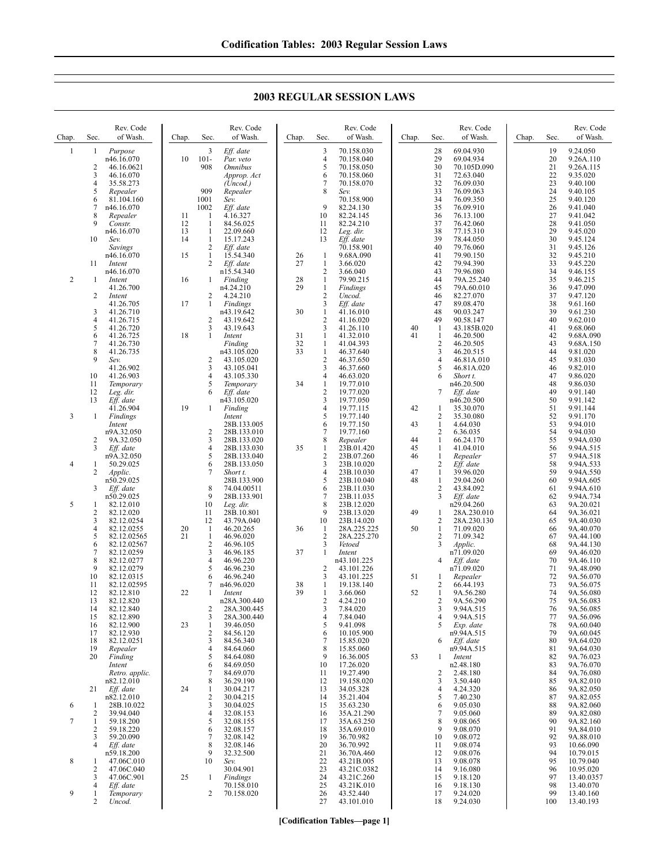|                |        | Rev. Code                 |          |                | Rev. Code                     |          |                                         | Rev. Code                  |       |                     | Rev. Code                |       |          | Rev. Code              |
|----------------|--------|---------------------------|----------|----------------|-------------------------------|----------|-----------------------------------------|----------------------------|-------|---------------------|--------------------------|-------|----------|------------------------|
| Chap.          | Sec.   | of Wash.                  | Chap.    | Sec.           | of Wash.                      | Chap.    | Sec.                                    | of Wash.                   | Chap. | Sec.                | of Wash.                 | Chap. | Sec.     | of Wash.               |
| $\mathbf{1}$   | 1      | Purpose<br>n46.16.070     | 10       | 3<br>$101 -$   | Eff. date<br>Par. veto        |          | 3<br>4<br>5                             | 70.158.030<br>70.158.040   |       | 28<br>29<br>30      | 69.04.930<br>69.04.934   |       | 19<br>20 | 9.24.050<br>9.26A.110  |
|                | 2<br>3 | 46.16.0621<br>46.16.070   |          | 908            | <b>Omnibus</b><br>Approp. Act |          | 6                                       | 70.158.050<br>70.158.060   |       | 31                  | 70.105D.090<br>72.63.040 |       | 21<br>22 | 9.26A.115<br>9.35.020  |
|                | 4      | 35.58.273                 |          |                | (Uncod.)                      |          | 7                                       | 70.158.070                 |       | 32                  | 76.09.030                |       | 23       | 9.40.100               |
|                | 5      | Repealer                  |          | 909            | Repealer                      |          | 8                                       | Sev.                       |       | 33                  | 76.09.063                |       | 24       | 9.40.105               |
|                | 6      | 81.104.160                |          | 1001           | Sev.                          |          |                                         | 70.158.900                 |       | 34                  | 76.09.350                |       | 25       | 9.40.120               |
|                | 7      | n46.16.070                |          | 1002           | Eff. date                     |          | 9                                       | 82.24.130                  |       | 35                  | 76.09.910                |       | 26       | 9.41.040               |
|                | 8      | Repealer                  | 11       | -1             | 4.16.327                      |          | 10                                      | 82.24.145                  |       | 36                  | 76.13.100                |       | 27       | 9.41.042               |
|                | 9      | Constr.<br>n46.16.070     | 12<br>13 | 1<br>1         | 84.56.025<br>22.09.660        |          | 11<br>12                                | 82.24.210                  |       | 37<br>38            | 76.42.060                |       | 28<br>29 | 9.41.050               |
|                | 10     | Sev.                      | 14       | $\mathbf{1}$   | 15.17.243                     |          | 13                                      | Leg. dir.<br>Eff. date     |       | 39                  | 77.15.310<br>78.44.050   |       | 30       | 9.45.020<br>9.45.124   |
|                |        | Savings                   |          | 2              | Eff. date                     |          |                                         | 70.158.901                 |       | 40                  | 79.76.060                |       | 31       | 9.45.126               |
|                |        | n46.16.070                | 15       | $\mathbf{1}$   | 15.54.340                     | 26       | $\mathbf{1}$                            | 9.68A.090                  |       | 41                  | 79.90.150                |       | 32       | 9.45.210               |
|                | 11     | Intent                    |          | $\overline{c}$ | Eff. date                     | 27       | $\mathbf{1}$                            | 3.66.020                   |       | 42                  | 79.94.390                |       | 33       | 9.45.220               |
|                |        | n46.16.070                |          |                | n15.54.340                    |          | $\overline{c}$                          | 3.66.040                   |       | 43                  | 79.96.080                |       | 34       | 9.46.155               |
| $\overline{c}$ | -1     | Intent                    | 16       | $\mathbf{1}$   | Finding                       | 28       | $\mathbf{1}$                            | 79.90.215                  |       | 44                  | 79A.25.240               |       | 35       | 9.46.215               |
|                | 2      | 41.26.700<br>Intent       |          | 2              | n4.24.210<br>4.24.210         | 29       | $\mathbf{1}$<br>$\overline{\mathbf{c}}$ | Findings<br>Uncod.         |       | 45<br>46            | 79A.60.010<br>82.27.070  |       | 36<br>37 | 9.47.090<br>9.47.120   |
|                |        | 41.26.705                 | 17       | 1              | Findings                      |          | 3                                       | Eff. date                  |       | 47                  | 89.08.470                |       | 38       | 9.61.160               |
|                | 3      | 41.26.710                 |          |                | n43.19.642                    | 30       | 1                                       | 41.16.010                  |       | 48                  | 90.03.247                |       | 39       | 9.61.230               |
|                | 4      | 41.26.715                 |          | 2              | 43.19.642                     |          | $\overline{c}$                          | 41.16.020                  |       | 49                  | 90.58.147                |       | 40       | 9.62.010               |
|                | 5      | 41.26.720                 |          | 3              | 43.19.643                     |          | 3                                       | 41.26.110                  | 40    | $\mathbf{1}$        | 43.185B.020              |       | 41       | 9.68.060               |
|                | 6      | 41.26.725                 | 18       | 1              | Intent                        | 31       | 1                                       | 41.32.010                  | 41    | 1                   | 46.20.500                |       | 42       | 9.68A.090              |
|                | 7<br>8 | 41.26.730<br>41.26.735    |          |                | Finding<br>n43.105.020        | 32<br>33 | $\mathbf{1}$<br>$\mathbf{1}$            | 41.04.393<br>46.37.640     |       | $\overline{2}$<br>3 | 46.20.505<br>46.20.515   |       | 43<br>44 | 9.68A.150<br>9.81.020  |
|                | 9      | Sev.                      |          | 2              | 43.105.020                    |          | $\overline{c}$                          | 46.37.650                  |       | 4                   | 46.81A.010               |       | 45       | 9.81.030               |
|                |        | 41.26.902                 |          | 3              | 43.105.041                    |          | 3                                       | 46.37.660                  |       | 5                   | 46.81A.020               |       | 46       | 9.82.010               |
|                | 10     | 41.26.903                 |          | 4              | 43.105.330                    |          | 4                                       | 46.63.020                  |       | 6                   | Short t.                 |       | 47       | 9.86.020               |
|                | 11     | Temporary                 |          | 5              | Temporary                     | 34       | $\mathbf{1}$                            | 19.77.010                  |       |                     | n46.20.500               |       | 48       | 9.86.030               |
|                | 12     | Leg. dir.                 |          | 6              | Eff. date                     |          | $\overline{c}$                          | 19.77.020                  |       | 7                   | Eff. date                |       | 49       | 9.91.140               |
|                | 13     | Eff. date                 |          |                | n43.105.020                   |          | 3                                       | 19.77.050                  |       |                     | n46.20.500               |       | 50       | 9.91.142               |
| 3              | 1      | 41.26.904<br>Findings     | 19       | $\mathbf{1}$   | Finding<br>Intent             |          | 4<br>5                                  | 19.77.115<br>19.77.140     | 42    | 1<br>2              | 35.30.070<br>35.30.080   |       | 51<br>52 | 9.91.144<br>9.91.170   |
|                |        | Intent                    |          |                | 28B.133.005                   |          | 6                                       | 19.77.150                  | 43    | $\mathbf{1}$        | 4.64.030                 |       | 53       | 9.94.010               |
|                |        | n9A.32.050                |          | 2              | 28B.133.010                   |          | 7                                       | 19.77.160                  |       | $\overline{2}$      | 6.36.035                 |       | 54       | 9.94.030               |
|                | 2      | 9A.32.050                 |          | 3              | 28B.133.020                   |          | 8                                       | Repealer                   | 44    | 1                   | 66.24.170                |       | 55       | 9.94A.030              |
|                | 3      | Eff. date                 |          | 4              | 28B.133.030                   | 35       | 1                                       | 23B.01.420                 | 45    | 1                   | 41.04.010                |       | 56       | 9.94A.515              |
|                |        | n9A.32.050                |          | 5<br>6         | 28B.133.040                   |          | $\overline{c}$                          | 23B.07.260                 | 46    | 1<br>$\overline{2}$ | Repealer                 |       | 57       | 9.94A.518              |
| 4              | 1<br>2 | 50.29.025<br>Applic.      |          | 7              | 28B.133.050<br>Short t.       |          | 3<br>4                                  | 23B.10.020<br>23B.10.030   | 47    | 1                   | Eff. date<br>39.96.020   |       | 58<br>59 | 9.94A.533<br>9.94A.550 |
|                |        | n50.29.025                |          |                | 28B.133.900                   |          | 5                                       | 23B.10.040                 | 48    | $\mathbf{1}$        | 29.04.260                |       | 60       | 9.94A.605              |
|                | 3      | Eff. date                 |          | 8              | 74.04.00511                   |          | 6                                       | 23B.11.030                 |       | $\overline{2}$      | 43.84.092                |       | 61       | 9.94A.610              |
|                |        | n50.29.025                |          | 9              | 28B.133.901                   |          | 7                                       | 23B.11.035                 |       | 3                   | Eff. date                |       | 62       | 9.94A.734              |
| 5              | 1      | 82.12.010                 |          | 10             | Leg. dir.                     |          | 8                                       | 23B.12.020                 |       |                     | n29.04.260               |       | 63       | 9A.20.021              |
|                | 2      | 82.12.020                 |          | 11             | 28B.10.801                    |          | 9                                       | 23B.13.020                 | 49    | 1                   | 28A.230.010              |       | 64       | 9A.36.021              |
|                | 3      | 82.12.0254                |          | 12             | 43.79A.040                    |          | 10                                      | 23B.14.020                 |       | 2                   | 28A.230.130              |       | 65       | 9A.40.030              |
|                | 4<br>5 | 82.12.0255<br>82.12.02565 | 20<br>21 | -1<br>1        | 46.20.265<br>46.96.020        | 36       | 1<br>$\overline{\mathbf{c}}$            | 28A.225.225<br>28A.225.270 | 50    | 1<br>$\overline{c}$ | 71.09.020<br>71.09.342   |       | 66<br>67 | 9A.40.070<br>9A.44.100 |
|                | 6      | 82.12.02567               |          | $\overline{c}$ | 46.96.105                     |          | 3                                       | Vetoed                     |       | 3                   | Applic.                  |       | 68       | 9A.44.130              |
|                | 7      | 82.12.0259                |          | 3              | 46.96.185                     | 37       | $\mathbf{1}$                            | Intent                     |       |                     | n71.09.020               |       | 69       | 9A.46.020              |
|                | 8      | 82.12.0277                |          | 4              | 46.96.220                     |          |                                         | n43.101.225                |       | 4                   | Eff. date                |       | 70       | 9A.46.110              |
|                | Q      | 82.12.0279                |          | 5              | 46.96.230                     |          | $\mathcal{D}$                           | 43 101 226                 |       |                     | n71.09.020               |       | 71       | 94 48 090              |

### **2003 REGULAR SESSION LAWS**

9 82.12.0279 82.12.0315 11 82.12.02595<br>12 82.12.810 82.12.810 82.12.820 14 82.12.840 82.12.890 82.12.900 17 82.12.930<br>18 82.12.025 18 82.12.0251<br>19 *Repealer Repealer*  $Finding$ *Intent Retro. applic.* n82.12.010 *Eff. date* n82.12.010 1 28B.10.022 39.94.040 7 1 59.18.200<br>2 59.18.220 2 59.18.220<br>3 59.20.090 3 59.20.090<br>4 *Eff. date Eff. date* n59.18.200  $\begin{array}{ccc} 8 & 1 & 47.06 \text{C} \cdot 010 \\ 2 & 47.06 \text{C} \cdot 040 \end{array}$ 2 47.06C.040 3 47.06C.901<br>4 *Eff date* Eff. date 1 *Temporary Uncod.* 46.96.230 6 46.96.240 7 n46.96.020<br>1 *Intent*  1 *Intent* n28A.300.440 28A.300.445  $\begin{array}{r} 3 \\ 1 \\ 39.46.050 \end{array}$  1 39.46.050  $\begin{array}{r} 284.56.120 \\ 384.56.340 \\ 484.64.060 \end{array}$  84.56.340 84.64.060<br>5 84.64.080  $\begin{array}{r} 5 \\ 6 \\ \end{array} \quad \begin{array}{r} 84.64.080 \\ 84.69.050 \end{array}$ 84.69.050 84.69.070 8 36.29.190<br>1 30.04.217 24 1 30.04.217<br>2 30.04.215  $\begin{array}{r} 2 & 30.04.215 \\ 3 & 30.04.025 \end{array}$ 3 30.04.025<br>4 32.08.153 32.08.153 32.08.155  $\frac{6}{7}$  32.08.157 7 32.08.142<br>8 32.08.146 8 32.08.146<br>9 32.32.500 9 32.32.500<br>10 Sev. *Sev.* 30.04.901 1 *Findings* 70.158.010 2 70.158.020 43.101.226 3 43.101.225 38 1 19.138.140<br>39 1 3.66.060 3.66.060 4.24.210 3 7.84.020  $\begin{array}{r} 4 & 7.84.040 \\ 5 & 9.41.098 \end{array}$  9.41.098 10.105.900 15.85.020  $\frac{8}{9}$  15.85.060 9 16.36.005<br>10 17.26.020 17.26.020 19.27.490  $12 \t 19.158.020$ <br>13 34.05.328 34.05.328 14 35.21.404<br>15 35.63.230 15 35.63.230<br>16 35A.21.29 16 35A.21.290<br>17 35A.63.250 17 35A.63.250<br>18 35A.69.010 18 35A.69.010<br>19 36 70 982 19 36.70.982<br>20 36.70.992 20 36.70.992<br>21 36.70A.46 21 36.70A.460<br>22 43.21B.005<br>23 43.21C.0382<br>24 43.21C.260<br>25 43.21K.010 43.21B.005 43.21C.0382 43.21C.260 25 43.21K.010<br>26 43.52.440 26 43.52.440<br>27 43.101.01 43.101.010 n71.09.020 1 *Repealer* 2 66.44.193<br>1 9A.56.280 1 9A.56.280 2 9A.56.290<br>3 9.94A.515  $\frac{3}{4}$  9.94A.515 9.94A.515 *Exp. date* n9.94A.515 *Eff. date* n9.94A.515 1 *Intent* n2.48.180  $\begin{array}{cc} 2 & 2.48.180 \\ 3 & 3.50.440 \end{array}$  $\frac{3}{4}$   $\frac{3.50.440}{4.24.320}$  $\begin{array}{r} 4 & 4.24.320 \\ 5 & 7.40.230 \end{array}$  $\begin{array}{r} 5 \\ 6 \\ \end{array} \quad \begin{array}{r} 7.40.230 \\ 9.05.030 \end{array}$  $\frac{6}{7}$  9.05.030  $\begin{array}{r} 7 & 9.05.060 \\ 8 & 9.08.065 \\ 9 & 9.08.070 \end{array}$  9.08.065  $\begin{array}{r} 9 \\ 10 \\ 9.08.072 \end{array}$  $\begin{array}{ccc} 10 & 9.08.072 \\ 11 & 9.08.074 \\ 12 & 9.08.076 \end{array}$ 9.08.074  $\begin{array}{r} 12 \\ 13 \\ 14 \end{array} \quad \begin{array}{r} 9.08.076 \\ 9.08.078 \\ 9.16.080 \end{array}$ 9.08.078 14 9.16.080<br>15 9.18.120 15 9.18.120<br>16 9.18.130 16 9.18.130<br>17 9.24.020 17 9.24.020<br>18 9.24.030 9.24.030 9A.48.090 72 9A.56.070 73 9A.56.075<br>74 9A.56.080<br>75 9A.56.083<br>76 9A.56.085 9A.56.080 9A.56.083 76 9A.56.085 77 9A.56.096<br>78 9A.60.040<br>79 9A.60.045 9A.60.040 9A.60.045 80 9A.64.020<br>81 9A.64.030 81 9A.64.030<br>82 9A.76.023 82 9A.76.023<br>83 9A.76.070 9A.76.070 84 9A.76.080<br>85 9A.82.010 85 9A.82.010<br>86 9A.82.050 86 9A.82.050<br>87 9A.82.055 87 9A.82.055<br>88 9A.82.060<br>89 9A.82.080 9A.82.060 89 9A.82.080<br>90 9A.82.160<br>91 9A.84.010 9A.82.160 91 9A.84.010<br>92 9A.88.010<br>93 10.66.090 9A.88.010 93 10.66.090<br>94 10.79.015 94 10.79.015<br>95 10.79.040 95 10.79.040<br>96 10.95.020<br>97 13.40.035 10.95.020 97 13.40.0357<br>98 13.40.070 98 13.40.070<br>99 13.40.160 99 13.40.160<br>100 13.40.193 13.40.193

**[Codification Tables—page 1]**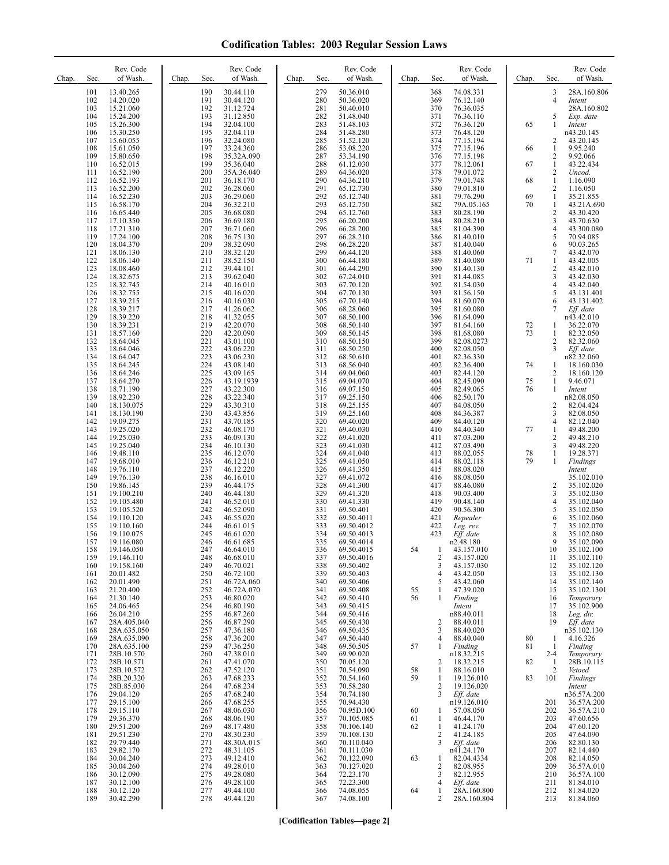| Chap. | Sec.       | Rev. Code<br>of Wash.      | Chap. | Sec.       | Rev. Code<br>of Wash.    | Chap. | Sec.       | Rev. Code<br>of Wash.    | Chap.    | Sec.                | Rev. Code<br>of Wash.     | Chap. | Sec.                    | Rev. Code<br>of Wash.     |
|-------|------------|----------------------------|-------|------------|--------------------------|-------|------------|--------------------------|----------|---------------------|---------------------------|-------|-------------------------|---------------------------|
|       | 101<br>102 | 13.40.265<br>14.20.020     |       | 190<br>191 | 30.44.110<br>30.44.120   |       | 279<br>280 | 50.36.010<br>50.36.020   |          | 368<br>369          | 74.08.331<br>76.12.140    |       | 3<br>4                  | 28A.160.806<br>Intent     |
|       | 103        | 15.21.060                  |       | 192        | 31.12.724                |       | 281        | 50.40.010                |          | 370                 | 76.36.035                 |       |                         | 28A.160.802               |
|       | 104<br>105 | 15.24.200<br>15.26.300     |       | 193<br>194 | 31.12.850<br>32.04.100   |       | 282<br>283 | 51.48.040<br>51.48.103   |          | 371<br>372          | 76.36.110<br>76.36.120    | 65    | 5<br>1                  | Exp. date<br>Intent       |
|       | 106        | 15.30.250                  |       | 195        | 32.04.110                |       | 284        | 51.48.280                |          | 373                 | 76.48.120                 |       |                         | n43.20.145                |
|       | 107<br>108 | 15.60.055<br>15.61.050     |       | 196<br>197 | 32.24.080<br>33.24.360   |       | 285<br>286 | 51.52.120<br>53.08.220   |          | 374<br>375          | 77.15.194<br>77.15.196    | 66    | 2<br>$\mathbf{1}$       | 43.20.145<br>9.95.240     |
|       | 109        | 15.80.650                  |       | 198        | 35.32A.090               |       | 287        | 53.34.190                |          | 376                 | 77.15.198                 |       | 2                       | 9.92.066                  |
|       | 110<br>111 | 16.52.015<br>16.52.190     |       | 199<br>200 | 35.36.040<br>35A.36.040  |       | 288<br>289 | 61.12.030<br>64.36.020   |          | 377<br>378          | 78.12.061<br>79.01.072    | 67    | 1<br>2                  | 43.22.434<br>Uncod.       |
|       | 112        | 16.52.193                  |       | 201        | 36.18.170                |       | 290        | 64.36.210                |          | 379                 | 79.01.748                 | 68    | $\mathbf{1}$            | 1.16.090                  |
|       | 113<br>114 | 16.52.200<br>16.52.230     |       | 202<br>203 | 36.28.060<br>36.29.060   |       | 291<br>292 | 65.12.730<br>65.12.740   |          | 380<br>381          | 79.01.810<br>79.76.290    | 69    | 2<br>$\mathbf{1}$       | 1.16.050<br>35.21.855     |
|       | 115        | 16.58.170                  |       | 204        | 36.32.210                |       | 293        | 65.12.750                |          | 382                 | 79A.05.165                | 70    | 1                       | 43.21A.690                |
|       | 116<br>117 | 16.65.440<br>17.10.350     |       | 205<br>206 | 36.68.080<br>36.69.180   |       | 294<br>295 | 65.12.760<br>66.20.200   |          | 383<br>384          | 80.28.190<br>80.28.210    |       | 2<br>3                  | 43.30.420<br>43.70.630    |
|       | 118        | 17.21.310                  |       | 207        | 36.71.060                |       | 296        | 66.28.200                |          | 385                 | 81.04.390                 |       | 4                       | 43.300.080                |
|       | 119<br>120 | 17.24.100<br>18.04.370     |       | 208<br>209 | 36.75.130<br>38.32.090   |       | 297<br>298 | 66.28.210<br>66.28.220   |          | 386<br>387          | 81.40.010<br>81.40.040    |       | 5<br>6                  | 70.94.085<br>90.03.265    |
|       | 121        | 18.06.130                  |       | 210        | 38.32.120                |       | 299        | 66.44.120                |          | 388                 | 81.40.060                 |       | 7                       | 43.42.070                 |
|       | 122<br>123 | 18.06.140<br>18.08.460     |       | 211<br>212 | 38.52.150<br>39.44.101   |       | 300<br>301 | 66.44.180<br>66.44.290   |          | 389<br>390          | 81.40.080<br>81.40.130    | 71    | 1<br>2                  | 43.42.005<br>43.42.010    |
|       | 124        | 18.32.675                  |       | 213        | 39.62.040                |       | 302        | 67.24.010                |          | 391                 | 81.44.085                 |       | 3                       | 43.42.030                 |
|       | 125<br>126 | 18.32.745<br>18.32.755     |       | 214<br>215 | 40.16.010<br>40.16.020   |       | 303<br>304 | 67.70.120<br>67.70.130   |          | 392<br>393          | 81.54.030<br>81.56.150    |       | 4<br>5                  | 43.42.040<br>43.131.401   |
|       | 127        | 18.39.215                  |       | 216        | 40.16.030                |       | 305        | 67.70.140                |          | 394                 | 81.60.070                 |       | 6                       | 43.131.402                |
|       | 128<br>129 | 18.39.217<br>18.39.220     |       | 217<br>218 | 41.26.062<br>41.32.055   |       | 306<br>307 | 68.28.060<br>68.50.100   |          | 395<br>396          | 81.60.080<br>81.64.090    |       | 7                       | Eff. date<br>n43.42.010   |
|       | 130        | 18.39.231                  |       | 219        | 42.20.070                |       | 308        | 68.50.140                |          | 397                 | 81.64.160                 | 72    | 1                       | 36.22.070                 |
|       | 131<br>132 | 18.57.160<br>18.64.045     |       | 220<br>221 | 42.20.090<br>43.01.100   |       | 309<br>310 | 68.50.145<br>68.50.150   |          | 398<br>399          | 81.68.080<br>82.08.0273   | 73    | 1<br>2                  | 82.32.050<br>82.32.060    |
|       | 133<br>134 | 18.64.046<br>18.64.047     |       | 222<br>223 | 43.06.220<br>43.06.230   |       | 311<br>312 | 68.50.250<br>68.50.610   |          | 400<br>401          | 82.08.050<br>82.36.330    |       | 3                       | Eff. date<br>n82.32.060   |
|       | 135        | 18.64.245                  |       | 224        | 43.08.140                |       | 313        | 68.56.040                |          | 402                 | 82.36.400                 | 74    | 1                       | 18.160.030                |
|       | 136<br>137 | 18.64.246<br>18.64.270     |       | 225<br>226 | 43.09.165<br>43.19.1939  |       | 314<br>315 | 69.04.060<br>69.04.070   |          | 403<br>404          | 82.44.120<br>82.45.090    | 75    | 2<br>$\mathbf{1}$       | 18.160.120<br>9.46.071    |
|       | 138        | 18.71.190                  |       | 227        | 43.22.300                |       | 316        | 69.07.150                |          | 405                 | 82.49.065                 | 76    | 1                       | Intent                    |
|       | 139<br>140 | 18.92.230<br>18.130.075    |       | 228<br>229 | 43.22.340<br>43.30.310   |       | 317<br>318 | 69.25.150<br>69.25.155   |          | 406<br>407          | 82.50.170<br>84.08.050    |       | 2                       | n82.08.050<br>82.04.424   |
|       | 141        | 18.130.190                 |       | 230        | 43.43.856                |       | 319        | 69.25.160                |          | 408                 | 84.36.387                 |       | 3                       | 82.08.050                 |
|       | 142<br>143 | 19.09.275<br>19.25.020     |       | 231<br>232 | 43.70.185<br>46.08.170   |       | 320<br>321 | 69.40.020<br>69.40.030   |          | 409<br>410          | 84.40.120<br>84.40.340    | 77    | 4<br>1                  | 82.12.040<br>49.48.200    |
|       | 144        | 19.25.030                  |       | 233        | 46.09.130                |       | 322        | 69.41.020                |          | 411                 | 87.03.200                 |       | 2                       | 49.48.210                 |
|       | 145<br>146 | 19.25.040<br>19.48.110     |       | 234<br>235 | 46.10.130<br>46.12.070   |       | 323<br>324 | 69.41.030<br>69.41.040   |          | 412<br>413          | 87.03.490<br>88.02.055    | 78    | 3<br>1                  | 49.48.220<br>19.28.371    |
|       | 147        | 19.68.010                  |       | 236        | 46.12.210                |       | 325        | 69.41.050                |          | 414                 | 88.02.118                 | 79    | 1                       | Findings                  |
|       | 148<br>149 | 19.76.110<br>19.76.130     |       | 237<br>238 | 46.12.220<br>46.16.010   |       | 326<br>327 | 69.41.350<br>69.41.072   |          | 415<br>416          | 88.08.020<br>88.08.050    |       |                         | Intent<br>35.102.010      |
|       | 150<br>151 | 19.86.145                  |       | 239<br>240 | 46.44.175<br>46.44.180   |       | 328<br>329 | 69.41.300<br>69.41.320   |          | 417<br>418          | 88.46.080<br>90.03.400    |       | 2<br>3                  | 35.102.020                |
|       | 152        | 19.100.210<br>19.105.480   |       | 241        | 46.52.010                |       | 330        | 69.41.330                |          | 419                 | 90.48.140                 |       | 4                       | 35.102.030<br>35.102.040  |
|       | 153<br>154 | 19.105.520<br>19.110.120   |       | 242<br>243 | 46.52.090<br>46.55.020   |       | 331<br>332 | 69.50.401<br>69.50.4011  |          | 420<br>421          | 90.56.300<br>Repealer     |       | 5<br>6                  | 35.102.050<br>35.102.060  |
|       | 155        | 19.110.160                 |       | 244        | 46.61.015                |       | 333        | 69.50.4012               |          | 422                 | Leg. rev.                 |       | $\tau$                  | 35.102.070                |
|       | 156<br>157 | 19.110.075<br>19.116.080   |       | 245<br>246 | 46.61.020<br>46.61.685   |       | 334<br>335 | 69.50.4013<br>69.50.4014 |          | 423                 | Eff. date<br>n2.48.180    |       | 8<br>9                  | 35.102.080<br>35.102.090  |
|       | 158        | 19.146.050                 |       | 247        | 46.64.010                |       | 336        | 69.50.4015               | 54       | $\mathbf{1}$        | 43.157.010                |       | 10                      | 35.102.100                |
|       | 159<br>160 | 19.146.110<br>19.158.160   |       | 248<br>249 | 46.68.010<br>46.70.021   |       | 337<br>338 | 69.50.4016<br>69.50.402  |          | $\overline{c}$<br>3 | 43.157.020<br>43.157.030  |       | 11<br>12                | 35.102.110<br>35.102.120  |
|       | 161        | 20.01.482                  |       | 250        | 46.72.100                |       | 339        | 69.50.403                |          | $\overline{4}$      | 43.42.050                 |       | 13                      | 35.102.130<br>35.102.140  |
|       | 162<br>163 | 20.01.490<br>21.20.400     |       | 251<br>252 | 46.72A.060<br>46.72A.070 |       | 340<br>341 | 69.50.406<br>69.50.408   | 55       | 5<br>1              | 43.42.060<br>47.39.020    |       | 14<br>15                | 35.102.1301               |
|       | 164<br>165 | 21.30.140<br>24.06.465     |       | 253<br>254 | 46.80.020<br>46.80.190   |       | 342<br>343 | 69.50.410<br>69.50.415   | 56       | $\mathbf{1}$        | Finding<br>Intent         |       | 16<br>17                | Temporary<br>35.102.900   |
|       | 166        | 26.04.210                  |       | 255        | 46.87.260                |       | 344        | 69.50.416                |          |                     | n88.40.011                |       | 18                      | Leg. dir.                 |
|       | 167<br>168 | 28A.405.040<br>28A.635.050 |       | 256<br>257 | 46.87.290<br>47.36.180   |       | 345<br>346 | 69.50.430<br>69.50.435   |          | 2<br>3              | 88.40.011<br>88.40.020    |       | 19                      | Eff. date<br>n35.102.130  |
|       | 169        | 28A.635.090                |       | 258        | 47.36.200                |       | 347        | 69.50.440                |          | $\overline{4}$      | 88.40.040                 | 80    | 1                       | 4.16.326                  |
|       | 170<br>171 | 28A.635.100<br>28B.10.570  |       | 259<br>260 | 47.36.250<br>47.38.010   |       | 348<br>349 | 69.50.505<br>69.90.020   | 57       | 1                   | Finding<br>n18.32.215     | 81    | $\mathbf{1}$<br>$2 - 4$ | Finding<br>Temporary      |
|       | 172        | 28B.10.571                 |       | 261        | 47.41.070                |       | 350        | 70.05.120                |          | $\overline{2}$      | 18.32.215                 | 82    | -1                      | 28B.10.115                |
|       | 173<br>174 | 28B.10.572<br>28B.20.320   |       | 262<br>263 | 47.52.120<br>47.68.233   |       | 351<br>352 | 70.54.090<br>70.54.160   | 58<br>59 | 1<br>1              | 88.16.010<br>19.126.010   | 83    | 2<br>101                | Vetoed<br>Findings        |
|       | 175        | 28B.85.030                 |       | 264        | 47.68.234                |       | 353        | 70.58.280                |          | $\overline{2}$      | 19.126.020                |       |                         | Intent                    |
|       | 176<br>177 | 29.04.120<br>29.15.100     |       | 265<br>266 | 47.68.240<br>47.68.255   |       | 354<br>355 | 70.74.180<br>70.94.430   |          | 3                   | Eff. date<br>n19.126.010  |       | 201                     | n36.57A.200<br>36.57A.200 |
|       | 178        | 29.15.110                  |       | 267        | 48.06.030                |       | 356        | 70.95D.100               | 60       | 1                   | 57.08.050                 |       | 202                     | 36.57A.210                |
|       | 179<br>180 | 29.36.370<br>29.51.200     |       | 268<br>269 | 48.06.190<br>48.17.480   |       | 357<br>358 | 70.105.085<br>70.106.140 | 61<br>62 | 1<br>1              | 46.44.170<br>41.24.170    |       | 203<br>204              | 47.60.656<br>47.60.120    |
|       | 181        | 29.51.230                  |       | 270        | 48.30.230                |       | 359        | 70.108.130               |          | $\overline{2}$<br>3 | 41.24.185                 |       | 205                     | 47.64.090                 |
|       | 182<br>183 | 29.79.440<br>29.82.170     |       | 271<br>272 | 48.30A.015<br>48.31.105  |       | 360<br>361 | 70.110.040<br>70.111.030 |          |                     | $Eff.$ date<br>n41.24.170 |       | 206<br>207              | 82.80.130<br>82.14.440    |
|       | 184<br>185 | 30.04.240<br>30.04.260     |       | 273<br>274 | 49.12.410<br>49.28.010   |       | 362<br>363 | 70.122.090<br>70.127.020 | 63       | 1<br>$\overline{2}$ | 82.04.4334<br>82.08.955   |       | 208<br>209              | 82.14.050<br>36.57A.010   |
|       | 186        | 30.12.090                  |       | 275        | 49.28.080                |       | 364        | 72.23.170                |          | 3                   | 82.12.955                 |       | 210                     | 36.57A.100                |
|       | 187<br>188 | 30.12.100<br>30.12.120     |       | 276<br>277 | 49.28.100<br>49.44.100   |       | 365<br>366 | 72.23.300<br>74.08.055   | 64       | $\overline{4}$<br>1 | Eff. date<br>28A.160.800  |       | 211<br>212              | 81.84.010<br>81.84.020    |
|       | 189        | 30.42.290                  |       | 278        | 49.44.120                |       | 367        | 74.08.100                |          | 2                   | 28A.160.804               |       | 213                     | 81.84.060                 |
|       |            |                            |       |            |                          |       |            |                          |          |                     |                           |       |                         |                           |

**[Codification Tables—page 2]**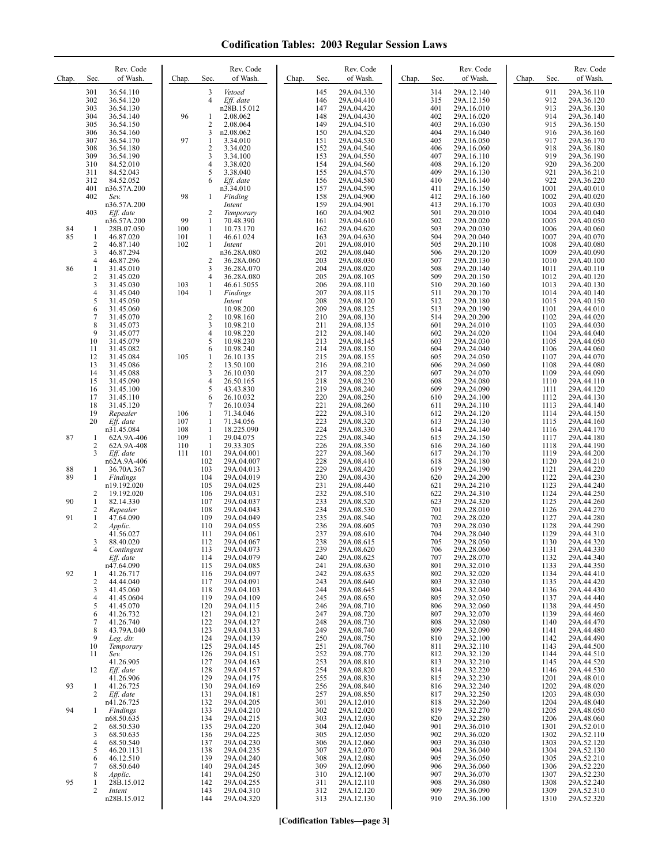| Chap.    | Sec.                                    | Rev. Code<br>of Wash.     | Chap.      | Rev. Code<br>of Wash.<br>Sec.                          | Chap.      | Rev. Code<br>of Wash.<br>Sec.          | Chap. | Rev. Code<br>of Wash.<br>Sec.          | Chap. | Sec.         | Rev. Code<br>of Wash.    |
|----------|-----------------------------------------|---------------------------|------------|--------------------------------------------------------|------------|----------------------------------------|-------|----------------------------------------|-------|--------------|--------------------------|
|          | 301<br>302                              | 36.54.110<br>36.54.120    |            | 3<br>Vetoed<br>$\overline{4}$<br>Eff. date             |            | 29A.04.330<br>145<br>29A.04.410<br>146 |       | 314<br>29A.12.140<br>315<br>29A.12.150 |       | 911<br>912   | 29A.36.110<br>29A.36.120 |
|          | 303<br>304                              | 36.54.130<br>36.54.140    | 96         | n28B.15.012<br>2.08.062<br>1                           |            | 147<br>29A.04.420<br>148<br>29A.04.430 |       | 401<br>29A.16.010<br>402<br>29A.16.020 |       | 913<br>914   | 29A.36.130<br>29A.36.140 |
|          | 305<br>306                              | 36.54.150<br>36.54.160    |            | $\overline{c}$<br>2.08.064<br>n2.08.062<br>3           |            | 149<br>29A.04.510<br>150<br>29A.04.520 |       | 403<br>29A.16.030<br>404<br>29A.16.040 |       | 915<br>916   | 29A.36.150<br>29A.36.160 |
|          | 307                                     | 36.54.170                 | 97         | 1<br>3.34.010                                          | 151        | 29A.04.530                             |       | 405<br>29A.16.050<br>406               |       | 917          | 29A.36.170               |
|          | 308<br>309                              | 36.54.180<br>36.54.190    |            | $\overline{\mathbf{c}}$<br>3.34.020<br>3<br>3.34.100   |            | 152<br>29A.04.540<br>153<br>29A.04.550 |       | 29A.16.060<br>407<br>29A.16.110        |       | 918<br>919   | 29A.36.180<br>29A.36.190 |
|          | 310<br>311                              | 84.52.010<br>84.52.043    |            | 4<br>3.38.020<br>5<br>3.38.040                         |            | 154<br>29A.04.560<br>155<br>29A.04.570 |       | 408<br>29A.16.120<br>409<br>29A.16.130 |       | 920<br>921   | 29A.36.200<br>29A.36.210 |
|          | 312<br>401                              | 84.52.052<br>n36.57A.200  |            | 6<br>Eff. date<br>n3.34.010                            | 157        | 156<br>29A.04.580<br>29A.04.590        |       | 410<br>29A.16.140<br>411<br>29A.16.150 |       | 922<br>1001  | 29A.36.220<br>29A.40.010 |
|          | 402                                     | Sev.<br>n36.57A.200       | 98         | 1<br>Finding<br>Intent                                 |            | 158<br>29A.04.900<br>159<br>29A.04.901 |       | 412<br>29A.16.160<br>413<br>29A.16.170 |       | 1002<br>1003 | 29A.40.020<br>29A.40.030 |
|          | 403                                     | Eff. date<br>n36.57A.200  | 99         | 2<br>Temporary<br>1<br>70.48.390                       | 161        | 160<br>29A.04.902<br>29A.04.610        |       | 501<br>29A.20.010<br>502<br>29A.20.020 |       | 1004<br>1005 | 29A.40.040<br>29A.40.050 |
| 84<br>85 | -1<br>$\mathbf{1}$                      | 28B.07.050<br>46.87.020   | 100<br>101 | 10.73.170<br>1<br>1<br>46.61.024                       | 163        | 162<br>29A.04.620<br>29A.04.630        |       | 503<br>29A.20.030<br>504<br>29A.20.040 |       | 1006<br>1007 | 29A.40.060<br>29A.40.070 |
|          | $\overline{c}$<br>3                     | 46.87.140<br>46.87.294    | 102        | 1<br>Intent<br>n36.28A.080                             | 201        | 29A.08.010<br>202<br>29A.08.040        |       | 505<br>29A.20.110<br>506<br>29A.20.120 |       | 1008<br>1009 | 29A.40.080<br>29A.40.090 |
| 86       | 4<br>1                                  | 46.87.296<br>31.45.010    |            | $\overline{2}$<br>36.28A.060<br>3<br>36.28A.070        | 203<br>204 | 29A.08.030<br>29A.08.020               |       | 507<br>29A.20.130<br>508<br>29A.20.140 |       | 1010<br>1011 | 29A.40.100<br>29A.40.110 |
|          | $\overline{c}$<br>3                     | 31.45.020<br>31.45.030    | 103        | 4<br>36.28A.080<br>1<br>46.61.5055                     |            | 205<br>29A.08.105<br>206<br>29A.08.110 |       | 509<br>29A.20.150<br>510<br>29A.20.160 |       | 1012<br>1013 | 29A.40.120<br>29A.40.130 |
|          | 4<br>5                                  | 31.45.040<br>31.45.050    | 104        | 1<br><b>Findings</b><br>Intent                         | 207        | 29A.08.115<br>208<br>29A.08.120        |       | 29A.20.170<br>511<br>29A.20.180<br>512 |       | 1014<br>1015 | 29A.40.140<br>29A.40.150 |
|          | 6<br>$\tau$                             | 31.45.060<br>31.45.070    |            | 10.98.200<br>$\overline{2}$<br>10.98.160               | 209        | 29A.08.125<br>210<br>29A.08.130        |       | 513<br>29A.20.190<br>514<br>29A.20.200 |       | 1101<br>1102 | 29A.44.010<br>29A.44.020 |
|          | $\,$ 8 $\,$<br>9                        | 31.45.073                 |            | 3<br>10.98.210                                         | 211        | 29A.08.135<br>212                      |       | 601<br>29A.24.010                      |       | 1103         | 29A.44.030               |
|          | 10                                      | 31.45.077<br>31.45.079    |            | 4<br>10.98.220<br>5<br>10.98.230                       |            | 29A.08.140<br>213<br>29A.08.145        |       | 602<br>29A.24.020<br>603<br>29A.24.030 |       | 1104<br>1105 | 29A.44.040<br>29A.44.050 |
|          | 11<br>12                                | 31.45.082<br>31.45.084    | 105        | 6<br>10.98.240<br>1<br>26.10.135                       |            | 214<br>29A.08.150<br>215<br>29A.08.155 |       | 604<br>29A.24.040<br>605<br>29A.24.050 |       | 1106<br>1107 | 29A.44.060<br>29A.44.070 |
|          | 13<br>14                                | 31.45.086<br>31.45.088    |            | $\overline{\mathbf{c}}$<br>13.50.100<br>3<br>26.10.030 | 217        | 216<br>29A.08.210<br>29A.08.220        |       | 606<br>29A.24.060<br>607<br>29A.24.070 |       | 1108<br>1109 | 29A.44.080<br>29A.44.090 |
|          | 15<br>16                                | 31.45.090<br>31.45.100    |            | 4<br>26.50.165<br>5<br>43.43.830                       |            | 218<br>29A.08.230<br>219<br>29A.08.240 |       | 608<br>29A.24.080<br>609<br>29A.24.090 |       | 1110<br>1111 | 29A.44.110<br>29A.44.120 |
|          | 17<br>18                                | 31.45.110<br>31.45.120    |            | 6<br>26.10.032<br>7<br>26.10.034                       | 221        | 220<br>29A.08.250<br>29A.08.260        |       | 610<br>29A.24.100<br>29A.24.110<br>611 |       | 1112<br>1113 | 29A.44.130<br>29A.44.140 |
|          | 19<br>20                                | Repealer<br>Eff. date     | 106<br>107 | 1<br>71.34.046<br>1<br>71.34.056                       | 223        | 222<br>29A.08.310<br>29A.08.320        |       | 612<br>29A.24.120<br>613<br>29A.24.130 |       | 1114<br>1115 | 29A.44.150<br>29A.44.160 |
| 87       | $\mathbf{1}$                            | n31.45.084<br>62A.9A-406  | 108<br>109 | $\mathbf{1}$<br>18.225.090<br>1<br>29.04.075           | 224        | 29A.08.330<br>225<br>29A.08.340        |       | 614<br>29A.24.140<br>29A.24.150<br>615 |       | 1116<br>1117 | 29A.44.170<br>29A.44.180 |
|          | $\overline{c}$<br>3                     | 62A.9A-408<br>Eff. date   | 110<br>111 | $\mathbf{1}$<br>29.33.305<br>101<br>29A.04.001         | 227        | 226<br>29A.08.350<br>29A.08.360        |       | 29A.24.160<br>616<br>29A.24.170<br>617 |       | 1118<br>1119 | 29A.44.190<br>29A.44.200 |
| 88       | 1                                       | n62A.9A-406<br>36.70A.367 |            | 102<br>29A.04.007<br>103<br>29A.04.013                 | 229        | 228<br>29A.08.410<br>29A.08.420        |       | 29A.24.180<br>618<br>619<br>29A.24.190 |       | 1120<br>1121 | 29A.44.210<br>29A.44.220 |
| 89       | 1                                       | Findings<br>n19.192.020   |            | 104<br>29A.04.019<br>105<br>29A.04.025                 | 231        | 230<br>29A.08.430<br>29A.08.440        |       | 29A.24.200<br>620<br>621<br>29A.24.210 |       | 1122<br>1123 | 29A.44.230<br>29A.44.240 |
| 90       | $\overline{c}$<br>$\mathbf{1}$          | 19.192.020<br>82.14.330   |            | 106<br>29A.04.031<br>107<br>29A.04.037                 |            | 232<br>29A.08.510<br>233<br>29A.08.520 |       | 622<br>29A.24.310<br>623<br>29A.24.320 |       | 1124<br>1125 | 29A.44.250<br>29A.44.260 |
| 91       | $\overline{\mathbf{c}}$<br>$\mathbf{1}$ | Repealer<br>47.64.090     |            | 108<br>29A.04.043<br>109<br>29A.04.049                 |            | 234<br>29A.08.530<br>235<br>29A.08.540 |       | 701<br>29A.28.010<br>702<br>29A.28.020 |       | 1126<br>1127 | 29A.44.270<br>29A.44.280 |
|          | $\overline{2}$                          | Applic.<br>41.56.027      |            | 110<br>29A.04.055<br>111<br>29A.04.061                 | 237        | 236<br>29A.08.605<br>29A.08.610        |       | 703<br>29A.28.030<br>704<br>29A.28.040 |       | 1128<br>1129 | 29A.44.290<br>29A.44.310 |
|          | 3                                       | 88.40.020<br>Contingent   |            | 112<br>29A.04.067<br>113<br>29A.04.073                 |            | 238<br>29A.08.615<br>239<br>29A.08.620 |       | 705<br>29A.28.050<br>706<br>29A.28.060 |       | 1130<br>1131 | 29A.44.320<br>29A.44.330 |
|          |                                         | Eff. date<br>n47.64.090   |            | 29A.04.079<br>114<br>29A.04.085<br>115                 |            | 240<br>29A.08.625<br>29A.08.630<br>241 |       | 707<br>29A.28.070<br>801<br>29A.32.010 |       | 1132<br>1133 | 29A.44.340<br>29A.44.350 |
| 92       | 1<br>$\overline{c}$                     | 41.26.717<br>44.44.040    |            | 116<br>29A.04.097<br>117<br>29A.04.091                 |            | 242<br>29A.08.635<br>243<br>29A.08.640 |       | 802<br>29A.32.020<br>29A.32.030<br>803 |       | 1134<br>1135 | 29A.44.410<br>29A.44.420 |
|          | 3<br>4                                  | 41.45.060<br>41.45.0604   |            | 118<br>29A.04.103<br>119<br>29A.04.109                 |            | 244<br>29A.08.645<br>245<br>29A.08.650 |       | 804<br>29A.32.040<br>805<br>29A.32.050 |       | 1136<br>1137 | 29A.44.430<br>29A.44.440 |
|          | 5<br>6                                  | 41.45.070<br>41.26.732    |            | 29A.04.115<br>120<br>121<br>29A.04.121                 |            | 246<br>29A.08.710<br>247<br>29A.08.720 |       | 806<br>29A.32.060<br>29A.32.070<br>807 |       | 1138<br>1139 | 29A.44.450<br>29A.44.460 |
|          | 7                                       | 41.26.740                 |            | 122<br>29A.04.127                                      |            | 248<br>29A.08.730                      |       | 29A.32.080<br>808                      |       | 1140         | 29A.44.470               |
|          | 8<br>9                                  | 43.79A.040<br>Leg. dir.   |            | 123<br>29A.04.133<br>124<br>29A.04.139                 |            | 249<br>29A.08.740<br>250<br>29A.08.750 |       | 809<br>29A.32.090<br>810<br>29A.32.100 |       | 1141<br>1142 | 29A.44.480<br>29A.44.490 |
|          | 10<br>11                                | Temporary<br>Sev.         |            | 125<br>29A.04.145<br>126<br>29A.04.151                 |            | 251<br>29A.08.760<br>252<br>29A.08.770 |       | 811<br>29A.32.110<br>29A.32.120<br>812 |       | 1143<br>1144 | 29A.44.500<br>29A.44.510 |
|          | 12                                      | 41.26.905<br>Eff. date    |            | 127<br>29A.04.163<br>29A.04.157<br>128                 |            | 253<br>29A.08.810<br>254<br>29A.08.820 |       | 29A.32.210<br>813<br>814<br>29A.32.220 |       | 1145<br>1146 | 29A.44.520<br>29A.44.530 |
| 93       | $\mathbf{1}$                            | 41.26.906<br>41.26.725    |            | 129<br>29A.04.175<br>130<br>29A.04.169                 |            | 255<br>29A.08.830<br>256<br>29A.08.840 |       | 815<br>29A.32.230<br>29A.32.240<br>816 |       | 1201<br>1202 | 29A.48.010<br>29A.48.020 |
|          | 2                                       | Eff. date<br>n41.26.725   |            | 29A.04.181<br>131<br>132<br>29A.04.205                 |            | 257<br>29A.08.850<br>301<br>29A.12.010 |       | 817<br>29A.32.250<br>29A.32.260<br>818 |       | 1203<br>1204 | 29A.48.030<br>29A.48.040 |
| 94       | 1                                       | Findings<br>n68.50.635    |            | 29A.04.210<br>133<br>134<br>29A.04.215                 |            | 302<br>29A.12.020<br>303<br>29A.12.030 |       | 29A.32.270<br>819<br>820<br>29A.32.280 |       | 1205<br>1206 | 29A.48.050<br>29A.48.060 |
|          | 2<br>3                                  | 68.50.530<br>68.50.635    |            | 135<br>29A.04.220<br>136<br>29A.04.225                 |            | 304<br>29A.12.040<br>305<br>29A.12.050 |       | 901<br>29A.36.010<br>902<br>29A.36.020 |       | 1301<br>1302 | 29A.52.010<br>29A.52.110 |
|          | 4<br>5                                  | 68.50.540<br>46.20.1131   |            | 137<br>29A.04.230<br>138<br>29A.04.235                 |            | 306<br>29A.12.060<br>307<br>29A.12.070 |       | 903<br>29A.36.030<br>904<br>29A.36.040 |       | 1303<br>1304 | 29A.52.120<br>29A.52.130 |
|          | 6<br>7                                  | 46.12.510<br>68.50.640    |            | 139<br>29A.04.240<br>140<br>29A.04.245                 |            | 308<br>29A.12.080<br>309<br>29A.12.090 |       | 905<br>29A.36.050<br>906<br>29A.36.060 |       | 1305<br>1306 | 29A.52.210<br>29A.52.220 |
| 95       | 8<br>1                                  | Applic.<br>28B.15.012     |            | 141<br>29A.04.250<br>142<br>29A.04.255                 |            | 310<br>29A.12.100<br>311<br>29A.12.110 |       | 907<br>29A.36.070<br>908<br>29A.36.080 |       | 1307<br>1308 | 29A.52.230<br>29A.52.240 |
|          | 2                                       | Intent<br>n28B.15.012     |            | 143<br>29A.04.310<br>144<br>29A.04.320                 |            | 312<br>29A.12.120<br>313<br>29A.12.130 |       | 909<br>29A.36.090<br>910<br>29A.36.100 |       | 1309<br>1310 | 29A.52.310<br>29A.52.320 |
|          |                                         |                           |            |                                                        |            |                                        |       |                                        |       |              |                          |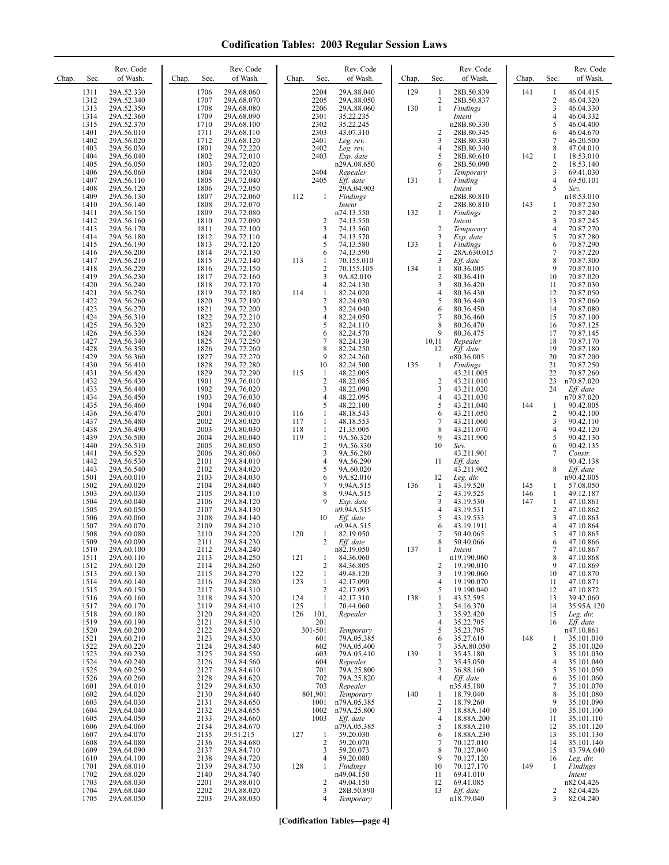| Chap. | Sec.         | Rev. Code<br>of Wash.    | Chap. | Sec.         | Rev. Code<br>of Wash.    | Chap.      | Sec.                         | Rev. Code<br>of Wash.      | Chap. | Sec.                           | Rev. Code<br>of Wash.    | Chap.      | Sec.                    | Rev. Code<br>of Wash.    |
|-------|--------------|--------------------------|-------|--------------|--------------------------|------------|------------------------------|----------------------------|-------|--------------------------------|--------------------------|------------|-------------------------|--------------------------|
|       | 1311         | 29A.52.330               |       | 1706         | 29A.68.060               |            | 2204                         | 29A.88.040                 | 129   | -1                             | 28B.50.839               | 141        | 1                       | 46.04.415                |
|       | 1312         | 29A.52.340               |       | 1707<br>1708 | 29A.68.070               |            | 2205<br>2206                 | 29A.88.050                 | 130   | $\overline{2}$<br>$\mathbf{1}$ | 28B.50.837               |            | 2<br>3                  | 46.04.320                |
|       | 1313<br>1314 | 29A.52.350<br>29A.52.360 |       | 1709         | 29A.68.080<br>29A.68.090 |            | 2301                         | 29A.88.060<br>35.22.235    |       |                                | Findings<br>Intent       |            | 4                       | 46.04.330<br>46.04.332   |
|       | 1315         | 29A.52.370               |       | 1710         | 29A.68.100               |            | 2302                         | 35.22.245                  |       |                                | n28B.80.330              |            | 5                       | 46.04.400                |
|       | 1401         | 29A.56.010               |       | 1711         | 29A.68.110               |            | 2303                         | 43.07.310                  |       | $\overline{2}$                 | 28B.80.345               |            | 6                       | 46.04.670                |
|       | 1402<br>1403 | 29A.56.020<br>29A.56.030 |       | 1712<br>1801 | 29A.68.120<br>29A.72.220 |            | 2401<br>2402                 | Leg. rev.<br>Leg. rev.     |       | 3<br>$\overline{4}$            | 28B.80.330<br>28B.80.340 |            | 7<br>8                  | 46.20.500<br>47.04.010   |
|       | 1404         | 29A.56.040               |       | 1802         | 29A.72.010               |            | 2403                         | Exp. date                  |       | 5                              | 28B.80.610               | 142        | $\mathbf{1}$            | 18.53.010                |
|       | 1405         | 29A.56.050               |       | 1803         | 29A.72.020               |            |                              | n29A.08.650                |       | 6                              | 28B.50.090               |            | $\overline{c}$          | 18.53.140                |
|       | 1406<br>1407 | 29A.56.060<br>29A.56.110 |       | 1804<br>1805 | 29A.72.030<br>29A.72.040 |            | 2404<br>2405                 | Repealer<br>Eff. date      | 131   | $\overline{7}$<br>$\mathbf{1}$ | Temporary<br>Finding     |            | 3<br>4                  | 69.41.030<br>69.50.101   |
|       | 1408         | 29A.56.120               |       | 1806         | 29A.72.050               |            |                              | 29A.04.903                 |       |                                | Intent                   |            | 5                       | Sev.                     |
|       | 1409         | 29A.56.130               |       | 1807         | 29A.72.060               | 112        | 1                            | Findings                   |       |                                | n28B.80.810              |            |                         | n18.53.010               |
|       | 1410<br>1411 | 29A.56.140<br>29A.56.150 |       | 1808<br>1809 | 29A.72.070<br>29A.72.080 |            |                              | Intent<br>n74.13.550       | 132   | 2<br>$\mathbf{1}$              | 28B.80.810<br>Findings   | 143        | 1<br>$\sqrt{2}$         | 70.87.230<br>70.87.240   |
|       | 1412         | 29A.56.160               |       | 1810         | 29A.72.090               |            | 2                            | 74.13.550                  |       |                                | Intent                   |            | 3                       | 70.87.245                |
|       | 1413         | 29A.56.170               |       | 1811         | 29A.72.100               |            | 3                            | 74.13.560                  |       | $\overline{2}$                 | Temporary                |            | $\overline{\mathbf{4}}$ | 70.87.270                |
|       | 1414<br>1415 | 29A.56.180<br>29A.56.190 |       | 1812<br>1813 | 29A.72.110<br>29A.72.120 |            | $\overline{4}$<br>5          | 74.13.570<br>74.13.580     | 133   | 3<br>$\mathbf{1}$              | Exp. date<br>Findings    |            | 5<br>6                  | 70.87.280<br>70.87.290   |
|       | 1416         | 29A.56.200               |       | 1814         | 29A.72.130               |            | 6                            | 74.13.590                  |       | $\overline{2}$                 | 28A.630.015              |            | $\tau$                  | 70.87.220                |
|       | 1417         | 29A.56.210               |       | 1815         | 29A.72.140               | 113        | $\mathbf{1}$                 | 70.155.010                 |       | 3                              | Eff. date                |            | 8                       | 70.87.300                |
|       | 1418<br>1419 | 29A.56.220<br>29A.56.230 |       | 1816<br>1817 | 29A.72.150<br>29A.72.160 |            | $\overline{2}$<br>3          | 70.155.105<br>9A.82.010    | 134   | $\mathbf{1}$<br>$\overline{2}$ | 80.36.005<br>80.36.410   |            | 9<br>10                 | 70.87.010<br>70.87.020   |
|       | 1420         | 29A.56.240               |       | 1818         | 29A.72.170               |            | 4                            | 82.24.130                  |       | 3                              | 80.36.420                |            | 11                      | 70.87.030                |
|       | 1421         | 29A.56.250               |       | 1819         | 29A.72.180               | 114        | $\mathbf{1}$                 | 82.24.020                  |       | $\overline{4}$                 | 80.36.430                |            | 12                      | 70.87.050                |
|       | 1422<br>1423 | 29A.56.260<br>29A.56.270 |       | 1820<br>1821 | 29A.72.190<br>29A.72.200 |            | $\overline{2}$<br>3          | 82.24.030<br>82.24.040     |       | 5<br>6                         | 80.36.440<br>80.36.450   |            | 13<br>14                | 70.87.060<br>70.87.080   |
|       | 1424         | 29A.56.310               |       | 1822         | 29A.72.210               |            | 4                            | 82.24.050                  |       | $\overline{7}$                 | 80.36.460                |            | 15                      | 70.87.100                |
|       | 1425         | 29A.56.320               |       | 1823         | 29A.72.230               |            | 5                            | 82.24.110                  |       | 8                              | 80.36.470                |            | 16                      | 70.87.125                |
|       | 1426<br>1427 | 29A.56.330<br>29A.56.340 |       | 1824<br>1825 | 29A.72.240<br>29A.72.250 |            | 6<br>7                       | 82.24.570<br>82.24.130     |       | 9<br>10,11                     | 80.36.475<br>Repealer    |            | 17<br>18                | 70.87.145<br>70.87.170   |
|       | 1428         | 29A.56.350               |       | 1826         | 29A.72.260               |            | 8                            | 82.24.250                  |       | 12                             | Eff. date                |            | 19                      | 70.87.180                |
|       | 1429         | 29A.56.360               |       | 1827         | 29A.72.270               |            | 9                            | 82.24.260                  |       |                                | n80.36.005               |            | 20                      | 70.87.200                |
|       | 1430<br>1431 | 29A.56.410<br>29A.56.420 |       | 1828<br>1829 | 29A.72.280<br>29A.72.290 | 115        | 10<br>$\mathbf{1}$           | 82.24.500<br>48.22.005     | 135   | $\mathbf{1}$                   | Findings<br>43.211.005   |            | 21<br>22                | 70.87.250<br>70.87.260   |
|       | 1432         | 29A.56.430               |       | 1901         | 29A.76.010               |            | $\overline{2}$               | 48.22.085                  |       | $\overline{c}$                 | 43.211.010               |            | 23                      | n70.87.020               |
|       | 1433         | 29A.56.440               |       | 1902<br>1903 | 29A.76.020               |            | 3<br>4                       | 48.22.090                  |       | 3<br>$\overline{4}$            | 43.211.020               |            | 24                      | Eff. date                |
|       | 1434<br>1435 | 29A.56.450<br>29A.56.460 |       | 1904         | 29A.76.030<br>29A.76.040 |            | 5                            | 48.22.095<br>48.22.100     |       | 5                              | 43.211.030<br>43.211.040 | 144        | 1                       | n70.87.020<br>90.42.005  |
|       | 1436         | 29A.56.470               |       | 2001         | 29A.80.010               | 116        | $\mathbf{1}$                 | 48.18.543                  |       | 6                              | 43.211.050               |            | 2                       | 90.42.100                |
|       | 1437<br>1438 | 29A.56.480               |       | 2002<br>2003 | 29A.80.020               | 117<br>118 | $\mathbf{1}$<br>$\mathbf{1}$ | 48.18.553<br>21.35.005     |       | $\overline{7}$<br>8            | 43.211.060               |            | 3<br>4                  | 90.42.110<br>90.42.120   |
|       | 1439         | 29A.56.490<br>29A.56.500 |       | 2004         | 29A.80.030<br>29A.80.040 | 119        | $\mathbf{1}$                 | 9A.56.320                  |       | 9                              | 43.211.070<br>43.211.900 |            | 5                       | 90.42.130                |
|       | 1440         | 29A.56.510               |       | 2005         | 29A.80.050               |            | $\overline{2}$               | 9A.56.330                  |       | 10                             | Sev.                     |            | 6                       | 90.42.135                |
|       | 1441<br>1442 | 29A.56.520<br>29A.56.530 |       | 2006<br>2101 | 29A.80.060<br>29A.84.010 |            | 3<br>4                       | 9A.56.280<br>9A.56.290     |       | 11                             | 43.211.901<br>Eff. date  |            | 7                       | Constr.<br>90.42.138     |
|       | 1443         | 29A.56.540               |       | 2102         | 29A.84.020               |            | 5                            | 9A.60.020                  |       |                                | 43.211.902               |            | 8                       | Eff. date                |
|       | 1501         | 29A.60.010               |       | 2103         | 29A.84.030               |            | 6                            | 9A.82.010                  |       | 12                             | Leg. dir.                |            |                         | n90.42.005               |
|       | 1502<br>1503 | 29A.60.020<br>29A.60.030 |       | 2104<br>2105 | 29A.84.040<br>29A.84.110 |            | 7<br>8                       | 9.94A.515<br>9.94A.515     | 136   | $\mathbf{1}$<br>$\overline{2}$ | 43.19.520<br>43.19.525   | 145<br>146 | 1<br>$\mathbf{1}$       | 57.08.050<br>49.12.187   |
|       | 1504         | 29A.60.040               |       | 2106         | 29A.84.120               |            |                              | Exp. date                  |       | 3                              | 43.19.530                | 147        | $\mathbf{1}$            | 47.10.861                |
|       | 1505         | 29A.60.050               |       | 2107         | 29A.84.130               |            |                              | n9.94A.515                 |       | $\overline{4}$                 | 43.19.531                |            | 2                       | 47.10.862                |
|       | 1506<br>1507 | 29A.60.060<br>29A.60.070 |       | 2108<br>2109 | 29A.84.140<br>29A.84.210 |            | 10                           | Eff. date<br>n9.94A.515    |       | 5<br>6                         | 43.19.533<br>43.19.1911  |            | 3<br>4                  | 47.10.863<br>47.10.864   |
|       | 1508         | 29A.60.080               |       | 2110         | 29A.84.220               | 120        | 1                            | 82.19.050                  |       | 7                              | 50.40.065                |            | 5                       | 47.10.865                |
|       | 1509         | 29A.60.090               |       | 2111         | 29A.84.230               |            | 2                            | Eff. date                  |       | 8                              | 50.40.066                |            | 6                       | 47.10.866                |
|       | 1510<br>1511 | 29A.60.100<br>29A.60.110 |       | 2112<br>2113 | 29A.84.240<br>29A.84.250 | 121        | 1                            | n82.19.050<br>84.36.060    | 137   |                                | Intent<br>n19.190.060    |            | 8                       | 47.10.867<br>47.10.868   |
|       | 1512         | 29A.60.120               |       | 2114         | 29A.84.260               |            | 2                            | 84.36.805                  |       | 2                              | 19.190.010               |            | 9                       | 47.10.869                |
|       | 1513<br>1514 | 29A.60.130<br>29A.60.140 |       | 2115<br>2116 | 29A.84.270<br>29A.84.280 | 122<br>123 | $\mathbf{1}$<br>$\mathbf{1}$ | 49.48.120<br>42.17.090     |       | 3<br>4                         | 19.190.060<br>19.190.070 |            | 10<br>11                | 47.10.870<br>47.10.871   |
|       | 1515         | 29A.60.150               |       | 2117         | 29A.84.310               |            | 2                            | 42.17.093                  |       | 5                              | 19.190.040               |            | 12                      | 47.10.872                |
|       | 1516         | 29A.60.160               |       | 2118         | 29A.84.320               | 124        | $\mathbf{1}$                 | 42.17.310                  | 138   | -1                             | 43.52.595                |            | 13                      | 39.42.060                |
|       | 1517<br>1518 | 29A.60.170<br>29A.60.180 |       | 2119<br>2120 | 29A.84.410<br>29A.84.420 | 125<br>126 | $\mathbf{1}$<br>101,         | 70.44.060<br>Repealer      |       | $\overline{c}$<br>3            | 54.16.370<br>35.92.420   |            | 14<br>15                | 35.95A.120<br>Leg. dir.  |
|       | 1519         | 29A.60.190               |       | 2121         | 29A.84.510               |            | 201                          |                            |       | $\overline{4}$                 | 35.22.705                |            | 16                      | Eff. date                |
|       | 1520         | 29A.60.200               |       | 2122         | 29A.84.520               |            | 301-501                      | Temporary                  |       | 5                              | 35.23.705                |            |                         | n47.10.861               |
|       | 1521<br>1522 | 29A.60.210<br>29A.60.220 |       | 2123<br>2124 | 29A.84.530<br>29A.84.540 |            | 601<br>602                   | 79A.05.385<br>79A.05.400   |       | 6<br>7                         | 35.27.610<br>35A.80.050  | 148        | 1<br>2                  | 35.101.010<br>35.101.020 |
|       | 1523         | 29A.60.230               |       | 2125         | 29A.84.550               |            | 603                          | 79A.05.410                 | 139   | -1                             | 35.45.180                |            | 3                       | 35.101.030               |
|       | 1524         | 29A.60.240               |       | 2126         | 29A.84.560               |            | 604                          | Repealer                   |       | $\overline{c}$                 | 35.45.050                |            | 4                       | 35.101.040               |
|       | 1525<br>1526 | 29A.60.250<br>29A.60.260 |       | 2127<br>2128 | 29A.84.610<br>29A.84.620 |            | 701<br>702                   | 79A.25.800<br>79A.25.820   |       | 3<br>$\overline{4}$            | 36.88.160<br>Eff. date   |            | 5<br>6                  | 35.101.050<br>35.101.060 |
|       | 1601         | 29A.64.010               |       | 2129         | 29A.84.630               |            | 703                          | Repealer                   |       |                                | n35.45.180               |            | 7                       | 35.101.070               |
|       | 1602         | 29A.64.020               |       | 2130         | 29A.84.640               |            | 801,901                      | Temporary                  | 140   | -1                             | 18.79.040                |            | 8                       | 35.101.080               |
|       | 1603<br>1604 | 29A.64.030<br>29A.64.040 |       | 2131<br>2132 | 29A.84.650<br>29A.84.655 |            | 1001<br>1002                 | n79A.05.385<br>n79A.25.800 |       | $\overline{2}$<br>3            | 18.79.260<br>18.88A.140  |            | 9<br>10                 | 35.101.090<br>35.101.100 |
|       | 1605         | 29A.64.050               |       | 2133         | 29A.84.660               |            | 1003                         | Eff. date                  |       | $\overline{4}$                 | 18.88A.200               |            | 11                      | 35.101.110               |
|       | 1606         | 29A.64.060               |       | 2134         | 29A.84.670               |            |                              | n79A.05.385                |       | 5                              | 18.88A.210               |            | 12                      | 35.101.120               |
|       | 1607<br>1608 | 29A.64.070<br>29A.64.080 |       | 2135<br>2136 | 29.51.215<br>29A.84.680  | 127        | 1<br>2                       | 59.20.030<br>59.20.070     |       | 6<br>$\overline{7}$            | 18.88A.230<br>70.127.010 |            | 13<br>14                | 35.101.130<br>35.101.140 |
|       | 1609         | 29A.64.090               |       | 2137         | 29A.84.710               |            | 3                            | 59.20.073                  |       | 8                              | 70.127.040               |            | 15                      | 43.79A.040               |
|       | 1610         | 29A.64.100               |       | 2138         | 29A.84.720               |            | 4                            | 59.20.080                  |       | 9                              | 70.127.120               |            | 16                      | Leg. dir.                |
|       | 1701<br>1702 | 29A.68.010<br>29A.68.020 |       | 2139<br>2140 | 29A.84.730<br>29A.84.740 | 128        | 1                            | Findings<br>n49.04.150     |       | 10<br>11                       | 70.127.170<br>69.41.010  | 149        | -1                      | Findings<br>Intent       |
|       | 1703         | 29A.68.030               |       | 2201         | 29A.88.010               |            | 2                            | 49.04.150                  |       | 12                             | 69.41.085                |            |                         | n82.04.426               |
|       | 1704<br>1705 | 29A.68.040<br>29A.68.050 |       | 2202<br>2203 | 29A.88.020<br>29A.88.030 |            | 3<br>4                       | 28B.50.890<br>Temporary    |       | 13                             | Eff. date<br>n18.79.040  |            | 2<br>3                  | 82.04.426<br>82.04.240   |
|       |              |                          |       |              |                          |            |                              |                            |       |                                |                          |            |                         |                          |

**[Codification Tables—page 4]**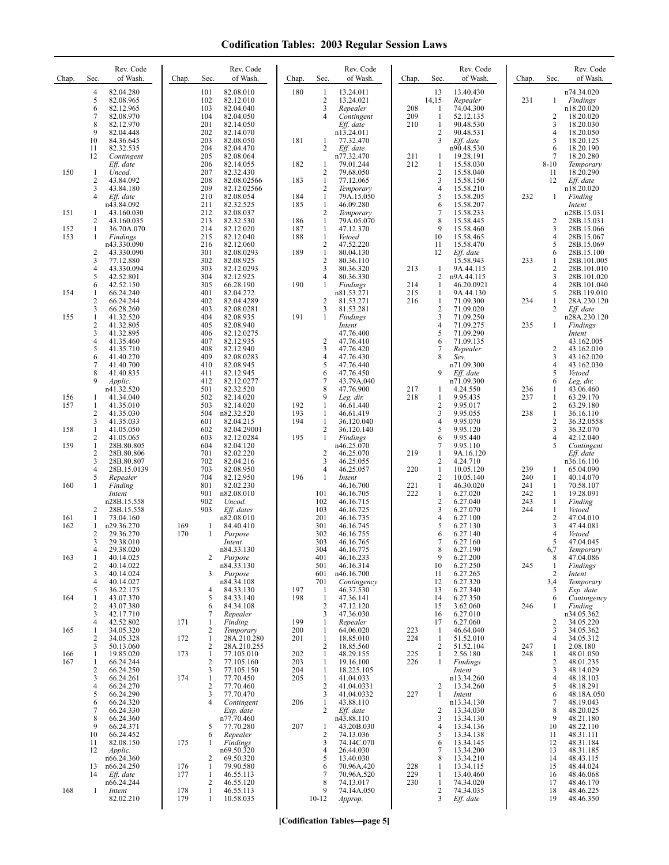| Chap.      | Sec.                         | Rev. Code<br>of Wash.     | Chap.      | Sec.                           | Rev. Code<br>of Wash.      | Chap.      | Sec.                           | Rev. Code<br>of Wash.     | Chap.      | Sec.                             | Rev. Code<br>of Wash.   | Chap.      | Sec.                         | Rev. Code<br>of Wash.      |
|------------|------------------------------|---------------------------|------------|--------------------------------|----------------------------|------------|--------------------------------|---------------------------|------------|----------------------------------|-------------------------|------------|------------------------------|----------------------------|
|            | 4<br>5                       | 82.04.280<br>82.08.965    |            | 101<br>102                     | 82.08.010<br>82.12.010     | 180        | $\mathbf{1}$<br>2              | 13.24.011<br>13.24.021    |            | 13<br>14,15                      | 13.40.430<br>Repealer   | 231        | $\mathbf{1}$                 | n74.34.020<br>Findings     |
|            | 6<br>7                       | 82.12.965<br>82.08.970    |            | 103<br>104                     | 82.04.040<br>82.04.050     |            | 3<br>4                         | Repealer<br>Contingent    | 208<br>209 | 1<br>1                           | 74.04.300<br>52.12.135  |            | 2                            | n18.20.020<br>18.20.020    |
|            | 8<br>9                       | 82.12.970<br>82.04.448    |            | 201<br>202                     | 82.14.050<br>82.14.070     |            |                                | Eff. date<br>n13.24.011   | 210        | 1<br>$\sqrt{2}$                  | 90.48.530<br>90.48.531  |            | 3<br>4                       | 18.20.030<br>18.20.050     |
|            | 10                           | 84.36.645                 |            | 203                            | 82.08.050                  | 181        | 1<br>2                         | 77.32.470                 |            | 3                                | Eff. date               |            | 5<br>6                       | 18.20.125                  |
|            | 11<br>12                     | 82.32.535<br>Contingent   |            | 204<br>205                     | 82.04.470<br>82.08.064     |            |                                | Eff. date<br>n77.32.470   | 211        | -1                               | n90.48.530<br>19.28.191 |            | 7                            | 18.20.190<br>18.20.280     |
| 150        | $\mathbf{1}$                 | Eff. date<br>Uncod.       |            | 206<br>207                     | 82.14.055<br>82.32.430     | 182        | $\mathbf{1}$<br>$\overline{2}$ | 79.01.244<br>79.68.050    | 212        | $\mathbf{1}$<br>$\overline{2}$   | 15.58.030<br>15.58.040  |            | $8 - 10$<br>11               | Temporary<br>18.20.290     |
|            | 2<br>3                       | 43.84.092<br>43.84.180    |            | 208<br>209                     | 82.08.02566<br>82.12.02566 | 183        | $\mathbf{1}$<br>2              | 77.12.065<br>Temporary    |            | 3<br>$\overline{4}$              | 15.58.150<br>15.58.210  |            | 12                           | Eff. date<br>n18.20.020    |
|            | 4                            | Eff. date<br>n43.84.092   |            | 210<br>211                     | 82.08.054<br>82.32.525     | 184<br>185 | $\mathbf{1}$<br>$\mathbf{1}$   | 79A.15.050<br>46.09.280   |            | 5<br>6                           | 15.58.205<br>15.58.207  | 232        | 1                            | Finding<br>Intent          |
| 151        | 1                            | 43.160.030                |            | 212                            | 82.08.037                  |            | 2                              | Temporary                 |            | 7                                | 15.58.233               |            |                              | n28B.15.031                |
| 152        | 2<br>1                       | 43.160.035<br>36.70A.070  |            | 213<br>214                     | 82.32.530<br>82.12.020     | 186<br>187 | $\mathbf{1}$<br>$\mathbf{1}$   | 79A.05.070<br>47.12.370   |            | 8<br>9                           | 15.58.445<br>15.58.460  |            | 2<br>3                       | 28B.15.031<br>28B.15.066   |
| 153        | 1                            | Findings<br>n43.330.090   |            | 215<br>216                     | 82.12.040<br>82.12.060     | 188        | $\mathbf{1}$<br>$\overline{c}$ | Vetoed<br>47.52.220       |            | 10<br>11                         | 15.58.465<br>15.58.470  |            | 4<br>5                       | 28B.15.067<br>28B.15.069   |
|            | $\overline{2}$<br>3          | 43.330.090<br>77.12.880   |            | 301<br>302                     | 82.08.0293<br>82.08.925    | 189        | $\mathbf{1}$<br>$\overline{2}$ | 80.04.130<br>80.36.110    |            | 12                               | Eff. date<br>15.58.943  | 233        | 6<br>1                       | 28B.15.100<br>28B.101.005  |
|            | 4<br>5                       | 43.330.094<br>42.52.801   |            | 303<br>304                     | 82.12.0293<br>82.12.925    |            | 3<br>4                         | 80.36.320<br>80.36.330    | 213        | 1<br>2                           | 9A.44.115<br>n9A.44.115 |            | $\overline{c}$<br>3          | 28B.101.010<br>28B.101.020 |
|            | 6                            | 42.52.150                 |            | 305                            | 66.28.190                  | 190        | $\mathbf{1}$                   | Findings                  | 214        | $\mathbf{1}$                     | 46.20.0921              |            | 4                            | 28B.101.040                |
| 154        | 1<br>2                       | 66.24.240<br>66.24.244    |            | 401<br>402                     | 82.04.272<br>82.04.4289    |            | 2                              | n81.53.271<br>81.53.271   | 215<br>216 | -1<br>1                          | 9A.44.130<br>71.09.300  | 234        | 5<br>$\mathbf{1}$            | 28B.119.010<br>28A.230.120 |
| 155        | 3<br>1                       | 66.28.260<br>41.32.520    |            | 403<br>404                     | 82.08.0281<br>82.08.935    | 191        | 3<br>$\mathbf{1}$              | 81.53.281<br>Findings     |            | $\sqrt{2}$<br>3                  | 71.09.020<br>71.09.250  |            | $\overline{2}$               | Eff. date<br>n28A.230.120  |
|            | $\overline{\mathbf{c}}$<br>3 | 41.32.805<br>41.32.895    |            | 405<br>406                     | 82.08.940<br>82.12.0275    |            |                                | Intent<br>47.76.400       |            | $\overline{4}$<br>5              | 71.09.275<br>71.09.290  | 235        | 1                            | Findings<br>Intent         |
|            | 4<br>5                       | 41.35.460<br>41.35.710    |            | 407<br>408                     | 82.12.935<br>82.12.940     |            | $\overline{2}$<br>3            | 47.76.410<br>47.76.420    |            | 6<br>$\overline{7}$              | 71.09.135<br>Repealer   |            | 2                            | 43.162.005<br>43.162.010   |
|            | 6<br>7                       | 41.40.270<br>41.40.700    |            | 409<br>410                     | 82.08.0283<br>82.08.945    |            | 4<br>5                         | 47.76.430<br>47.76.440    |            | 8                                | Sev.<br>n71.09.300      |            | 3<br>4                       | 43.162.020<br>43.162.030   |
|            | 8<br>9                       | 41.40.835                 |            | 411                            | 82.12.945                  |            | 6                              | 47.76.450                 |            | 9                                | Eff. date               |            | 5                            | Vetoed                     |
|            |                              | Applic.<br>n41.32.520     |            | 412<br>501                     | 82.12.0277<br>82.32.520    |            | 7<br>8                         | 43.79A.040<br>47.76.900   | 217        | 1                                | n71.09.300<br>4.24.550  | 236        | 6<br>1                       | Leg. dir.<br>43.06.460     |
| 156<br>157 | 1<br>1                       | 41.34.040<br>41.35.010    |            | 502<br>503                     | 82.14.020<br>82.14.020     | 192        | 9<br>$\mathbf{1}$              | Leg. dir.<br>46.61.440    | 218        | 1<br>$\overline{2}$              | 9.95.435<br>9.95.017    | 237        | $\mathbf{1}$<br>$\mathbf{2}$ | 63.29.170<br>63.29.180     |
|            | 2<br>3                       | 41.35.030<br>41.35.033    |            | 504<br>601                     | n82.32.520<br>82.04.215    | 193<br>194 | $\mathbf{1}$<br>$\mathbf{1}$   | 46.61.419<br>36.120.040   |            | $\mathfrak{Z}$<br>$\overline{4}$ | 9.95.055<br>9.95.070    | 238        | $\mathbf{1}$<br>2            | 36.16.110<br>36.32.0558    |
| 158        | 1<br>$\overline{\mathbf{c}}$ | 41.05.050<br>41.05.065    |            | 602<br>603                     | 82.04.29001<br>82.12.0284  | 195        | 2<br>$\mathbf{1}$              | 36.120.140<br>Findings    |            | 5<br>6                           | 9.95.120<br>9.95.440    |            | 3<br>4                       | 36.32.070<br>42.12.040     |
| 159        | 1<br>$\overline{c}$          | 28B.80.805                |            | 604<br>701                     | 82.04.120<br>82.02.220     |            |                                | n46.25.070                | 219        | $\overline{7}$<br>$\mathbf{1}$   | 9.95.110                |            | 5                            | Contingent                 |
|            | 3                            | 28B.80.806<br>28B.80.807  |            | 702                            | 82.04.216                  |            | 2<br>3                         | 46.25.070<br>46.25.055    |            | 2                                | 9A.16.120<br>4.24.710   |            |                              | Eff. date<br>n36.16.110    |
|            | 4<br>5                       | 28B.15.0139<br>Repealer   |            | 703<br>704                     | 82.08.950<br>82.12.950     | 196        | 4<br>$\mathbf{1}$              | 46.25.057<br>Intent       | 220        | $\mathbf{1}$<br>$\overline{2}$   | 10.05.120<br>10.05.140  | 239<br>240 | 1<br>1                       | 65.04.090<br>40.14.070     |
| 160        | 1                            | Finding<br>Intent         |            | 801<br>901                     | 82.02.230<br>n82.08.010    |            | 101                            | 46.16.700<br>46.16.705    | 221<br>222 | $\mathbf{1}$<br>$\mathbf{1}$     | 46.30.020<br>6.27.020   | 241<br>242 | $\mathbf{1}$<br>1            | 70.58.107<br>19.28.091     |
|            | 2                            | n28B.15.558<br>28B.15.558 |            | 902<br>903                     | Uncod.<br>Eff. dates       |            | 102<br>103                     | 46.16.715<br>46.16.725    |            | $\overline{2}$<br>3              | 6.27.040<br>6.27.070    | 243<br>244 | $\mathbf{1}$<br>$\mathbf{1}$ | Finding<br>Vetoed          |
| 161<br>162 | 1<br>1                       | 73.04.160<br>n29.36.270   | 169        | -1                             | n82.08.010<br>84.40.410    |            | 201<br>301                     | 46.16.735<br>46.16.745    |            | $\overline{4}$<br>5              | 6.27.100<br>6.27.130    |            | 2<br>3                       | 47.04.010<br>47.44.081     |
|            | 2<br>3                       | 29.36.270                 | 170        | 1                              | Purpose                    |            | 302                            | 46.16.755                 |            | 6<br>7                           | 6.27.140                |            | 4<br>5                       | Vetoed                     |
|            | 4                            | 29.38.010<br>29.38.020    |            |                                | Intent<br>n84.33.130       |            | 303<br>304                     | 46.16.765<br>46.16.775    |            | 8                                | 6.27.160<br>6.27.190    |            | 6,7                          | 47.04.045<br>Temporary     |
| 163        | $\mathbf{1}$<br>2            | 40.14.025<br>40.14.022    |            | 2                              | Purpose<br>n84.33.130      |            | 401<br>501                     | 46.16.233<br>46.16.314    |            | 9<br>10                          | 6.27.200<br>6.27.250    | 245        | 8<br>$\mathbf{1}$            | 47.04.086<br>Findings      |
|            | 3<br>4                       | 40.14.024<br>40.14.027    |            | 3                              | Purpose<br>n84.34.108      |            | 601<br>701                     | n46.16.700<br>Contingency |            | 11<br>12                         | 6.27.265<br>6.27.320    |            | $\overline{2}$<br>3,4        | Intent<br>Temporary        |
| 164        | 5<br>1                       | 36.22.175<br>43.07.370    |            | 4<br>5                         | 84.33.130<br>84.33.140     | 197<br>198 | 1<br>$\mathbf{1}$              | 46.37.530<br>47.36.141    |            | 13<br>14                         | 6.27.340<br>6.27.350    |            | 5<br>6                       | Exp. date<br>Contingency   |
|            | $\overline{c}$<br>3          | 43.07.380<br>42.17.710    |            | 6<br>7                         | 84.34.108<br>Repealer      |            | 2<br>3                         | 47.12.120<br>47.36.030    |            | 15<br>16                         | 3.62.060<br>6.27.010    | 246        | 1                            | Finding<br>n34.05.362      |
|            | 4                            | 42.52.802                 | 171        | 1                              | Finding                    | 199        | $\mathbf{1}$                   | Repealer<br>64.06.020     |            | 17                               | 6.27.060                |            | 2                            | 34.05.220                  |
| 165        | 1<br>2                       | 34.05.320<br>34.05.328    | 172        | $\overline{c}$<br>$\mathbf{1}$ | Temporary<br>28A.210.280   | 200<br>201 | $\mathbf{1}$<br>$\mathbf{1}$   | 18.85.010                 | 223<br>224 | $\mathbf{1}$<br>$\mathbf{1}$     | 46.64.040<br>51.52.010  |            | 3<br>4                       | 34.05.362<br>34.05.312     |
| 166        | 3<br>$\mathbf{1}$            | 50.13.060<br>19.85.020    | 173        | $\overline{c}$<br>$\mathbf{1}$ | 28A.210.255<br>77.105.010  | 202        | $\sqrt{2}$<br>$\mathbf{1}$     | 18.85.560<br>48.29.155    | 225        | 2<br>$\mathbf{1}$                | 51.52.104<br>2.56.180   | 247<br>248 | $\mathbf{1}$<br>$\mathbf{1}$ | 2.08.180<br>48.01.050      |
| 167        | 1<br>2                       | 66.24.244<br>66.24.250    |            | $\overline{c}$<br>3            | 77.105.160<br>77.105.150   | 203<br>204 | $\mathbf{1}$<br>$\mathbf{1}$   | 19.16.100<br>18.225.105   | 226        | $\mathbf{1}$                     | Findings<br>Intent      |            | 2<br>3                       | 48.01.235<br>48.14.029     |
|            | 3<br>4                       | 66.24.261<br>66.24.270    | 174        | $\mathbf{1}$<br>$\sqrt{2}$     | 77.70.450<br>77.70.460     | 205        | $\mathbf{1}$<br>$\overline{c}$ | 41.04.033<br>41.04.0331   |            | $\overline{2}$                   | n13.34.260<br>13.34.260 |            | 4<br>5                       | 48.18.103<br>48.18.291     |
|            | 5                            | 66.24.290                 |            | 3<br>$\overline{4}$            | 77.70.470                  |            | 3                              | 41.04.0332                | 227        | $\mathbf{1}$                     | Intent                  |            | 6                            | 48.18A.050                 |
|            | 6<br>7                       | 66.24.320<br>66.24.330    |            |                                | Contingent<br>Exp. date    | 206        | 1<br>2                         | 43.88.110<br>Eff. date    |            | $\overline{2}$                   | n13.34.130<br>13.34.030 |            | 7<br>8                       | 48.19.043<br>48.20.025     |
|            | 8<br>9                       | 66.24.360<br>66.24.371    |            | 5                              | n77.70.460<br>77.70.280    | 207        | 1                              | n43.88.110<br>43.20B.030  |            | 3<br>$\overline{4}$              | 13.34.130<br>13.34.136  |            | 9<br>10                      | 48.21.180<br>48.22.110     |
|            | 10<br>11                     | 66.24.452<br>82.08.150    | 175        | 6<br>1                         | Repealer<br>Findings       |            | $\overline{c}$<br>3            | 74.13.036<br>74.14C.070   |            | 5<br>6                           | 13.34.138<br>13.34.145  |            | 11<br>12                     | 48.31.111<br>48.31.184     |
|            | 12                           | Applic.<br>n66.24.360     |            | 2                              | n69.50.320<br>69.50.320    |            | 4<br>5                         | 26.44.030<br>13.40.030    |            | $\overline{7}$<br>8              | 13.34.200<br>13.34.210  |            | 13<br>14                     | 48.31.185<br>48.43.115     |
|            | 13<br>14                     | n66.24.250<br>Eff. date   | 176<br>177 | $\mathbf{1}$<br>$\mathbf{1}$   | 79.90.580<br>46.55.113     |            | 6<br>7                         | 70.96A.420<br>70.96A.520  | 228<br>229 | -1<br>1                          | 13.34.115<br>13.40.460  |            | 15<br>16                     | 48.44.024<br>48.46.068     |
|            |                              | n66.24.244                |            | 2                              | 46.55.120                  |            | 8                              | 74.13.017                 | 230        | 1                                | 74.34.020               |            | 17                           | 48.46.170                  |
| 168        | 1                            | Intent<br>82.02.210       | 178<br>179 | $\mathbf{1}$<br>$\mathbf{1}$   | 46.55.113<br>10.58.035     |            | 9<br>$10-12$                   | 74.14A.050<br>Approp.     |            | $\sqrt{2}$<br>3                  | 74.34.035<br>Eff. date  |            | 18<br>19                     | 48.46.225<br>48.46.350     |

**[Codification Tables—page 5]**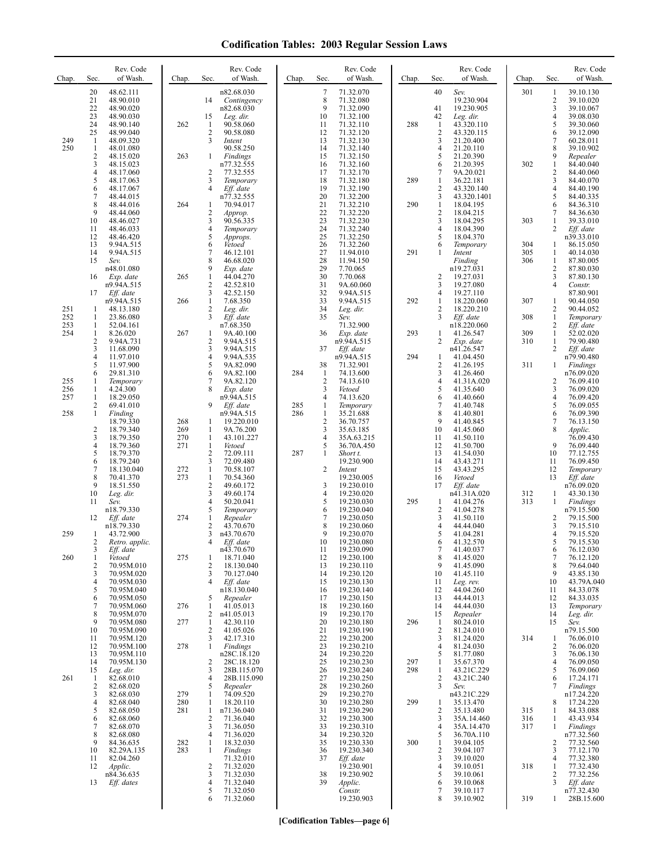| Chap.      | Sec.                                    | Rev. Code<br>of Wash.       | Chap.      | Sec.                           | Rev. Code<br>of Wash.      | Chap. | Sec.                           | Rev. Code<br>of Wash.    | Chap. | Sec.                           | Rev. Code<br>of Wash.    | Chap.      | Sec.                | Rev. Code<br>of Wash.    |
|------------|-----------------------------------------|-----------------------------|------------|--------------------------------|----------------------------|-------|--------------------------------|--------------------------|-------|--------------------------------|--------------------------|------------|---------------------|--------------------------|
|            | 20                                      | 48.62.111                   |            |                                | n82.68.030                 |       | $\overline{7}$                 | 71.32.070                |       | 40                             | Sev.                     | 301        | 1                   | 39.10.130                |
|            | 21<br>22                                | 48.90.010<br>48.90.020      |            | 14                             | Contingency<br>n82.68.030  |       | 8<br>9                         | 71.32.080<br>71.32.090   |       | 41                             | 19.230.904<br>19.230.905 |            | 2<br>3              | 39.10.020<br>39.10.067   |
|            | 23                                      | 48.90.030                   |            | 15                             | Leg. dir.                  |       | 10                             | 71.32.100                |       | 42                             | Leg. dir.                |            | 4                   | 39.08.030                |
|            | 24<br>25                                | 48.90.140<br>48.99.040      | 262        | -1<br>$\overline{2}$           | 90.58.060<br>90.58.080     |       | 11<br>12                       | 71.32.110<br>71.32.120   | 288   | 1<br>$\overline{c}$            | 43.320.110<br>43.320.115 |            | 5<br>6              | 39.30.060<br>39.12.090   |
| 249        | -1                                      | 48.09.320                   |            | 3                              | Intent                     |       | 13                             | 71.32.130                |       | 3                              | 21.20.400                |            | 7                   | 60.28.011                |
| 250        | $\mathbf{1}$<br>$\overline{\mathbf{c}}$ | 48.01.080                   | 263        | 1                              | 90.58.250<br>Findings      |       | 14<br>15                       | 71.32.140<br>71.32.150   |       | 4<br>5                         | 21.20.110<br>21.20.390   |            | 8<br>9              | 39.10.902<br>Repealer    |
|            | 3                                       | 48.15.020<br>48.15.023      |            |                                | n77.32.555                 |       | 16                             | 71.32.160                |       | 6                              | 21.20.395                | 302        | $\mathbf{1}$        | 84.40.040                |
|            | 4                                       | 48.17.060                   |            | $\overline{c}$                 | 77.32.555                  |       | 17                             | 71.32.170                |       | 7                              | 9A.20.021                |            | $\overline{c}$      | 84.40.060                |
|            | 5<br>6                                  | 48.17.063<br>48.17.067      |            | 3<br>$\overline{4}$            | Temporary<br>Eff. date     |       | 18<br>19                       | 71.32.180<br>71.32.190   | 289   | 1<br>$\overline{c}$            | 36.22.181<br>43.320.140  |            | 3<br>4              | 84.40.070<br>84.40.190   |
|            | 7                                       | 48.44.015                   |            |                                | n77.32.555                 |       | 20                             | 71.32.200                |       | 3                              | 43.320.1401              |            | 5                   | 84.40.335                |
|            | 8<br>9                                  | 48.44.016<br>48.44.060      | 264        | -1<br>$\sqrt{2}$               | 70.94.017<br>Approp.       |       | 21<br>22                       | 71.32.210<br>71.32.220   | 290   | $\mathbf{1}$<br>$\overline{c}$ | 18.04.195<br>18.04.215   |            | 6<br>7              | 84.36.310<br>84.36.630   |
|            | 10                                      | 48.46.027                   |            | 3                              | 90.56.335                  |       | 23                             | 71.32.230                |       | 3                              | 18.04.295                | 303        | 1                   | 39.33.010                |
|            | 11<br>12                                | 48.46.033<br>48.46.420      |            | $\overline{4}$<br>5            | Temporary<br>Approps.      |       | 24<br>25                       | 71.32.240<br>71.32.250   |       | 4<br>5                         | 18.04.390<br>18.04.370   |            | 2                   | Eff. date<br>n39.33.010  |
|            | 13                                      | 9.94A.515                   |            | 6                              | Vetoed                     |       | 26                             | 71.32.260                |       | 6                              | Temporary                | 304        | 1                   | 86.15.050                |
|            | 14<br>15                                | 9.94A.515<br>Sev.           |            | 7<br>8                         | 46.12.101<br>46.68.020     |       | 27<br>28                       | 11.94.010<br>11.94.150   | 291   | 1                              | Intent<br>Finding        | 305<br>306 | $\mathbf{1}$<br>1   | 40.14.030<br>87.80.005   |
|            |                                         | n48.01.080                  |            | 9                              | Exp. date                  |       | 29                             | 7.70.065                 |       |                                | n19.27.031               |            | $\overline{c}$      | 87.80.030                |
|            | 16                                      | Exp. date<br>n9.94A.515     | 265        | 1<br>$\sqrt{2}$                | 44.04.270<br>42.52.810     |       | 30<br>31                       | 7.70.068<br>9A.60.060    |       | 2<br>3                         | 19.27.031<br>19.27.080   |            | 3<br>$\overline{4}$ | 87.80.130<br>Constr.     |
|            | 17                                      | Eff. date                   |            | 3                              | 42.52.150                  |       | 32                             | 9.94A.515                |       | 4                              | 19.27.110                |            |                     | 87.80.901                |
| 251        | 1                                       | n9.94A.515<br>48.13.180     | 266        | $\mathbf{1}$<br>$\overline{2}$ | 7.68.350<br>Leg. dir.      |       | 33<br>34                       | 9.94A.515<br>Leg. dir.   | 292   | 1<br>2                         | 18.220.060<br>18.220.210 | 307        | 1<br>2              | 90.44.050<br>90.44.052   |
| 252        | 1                                       | 23.86.080                   |            | 3                              | Eff. date                  |       | 35                             | Sev.                     |       | 3                              | Eff. date                | 308        | $\mathbf{1}$        | Temporary                |
| 253<br>254 | 1<br>1                                  | 52.04.161<br>8.26.020       | 267        | 1                              | n7.68.350<br>9A.40.100     |       | 36                             | 71.32.900<br>Exp. date   | 293   | $\mathbf{1}$                   | n18.220.060<br>41.26.547 | 309        | 2<br>$\mathbf{1}$   | Eff. date<br>52.02.020   |
|            | $\overline{c}$                          | 9.94A.731                   |            | $\sqrt{2}$                     | 9.94A.515                  |       |                                | n9.94A.515               |       | 2                              | Exp. date                | 310        | 1<br>$\overline{2}$ | 79.90.480                |
|            | 3<br>4                                  | 11.68.090<br>11.97.010      |            | 3<br>$\overline{4}$            | 9.94A.515<br>9.94A.535     |       | 37                             | Eff. date<br>n9.94A.515  | 294   | 1                              | n41.26.547<br>41.04.450  |            |                     | Eff. date<br>n79.90.480  |
|            | 5                                       | 11.97.900                   |            | 5                              | 9A.82.090                  |       | 38                             | 71.32.901                |       | 2                              | 41.26.195                | 311        | 1                   | <b>Findings</b>          |
| 255        | 6<br>1                                  | 29.81.310<br>Temporary      |            | 6<br>7                         | 9A.82.100<br>9A.82.120     | 284   | $\mathbf{1}$<br>$\overline{2}$ | 74.13.600<br>74.13.610   |       | 3<br>4                         | 41.26.460<br>41.31A.020  |            | 2                   | n76.09.020<br>76.09.410  |
| 256<br>257 | 1                                       | 4.24.300                    |            | 8                              | Exp. date                  |       | 3                              | Vetoed                   |       | 5                              | 41.35.640                |            | 3                   | 76.09.020                |
|            | 1<br>2                                  | 18.29.050<br>69.41.010      |            | 9                              | n9.94A.515<br>Eff. date    | 285   | $\overline{4}$<br>1            | 74.13.620<br>Temporary   |       | 6<br>7                         | 41.40.660<br>41.40.748   |            | 4<br>5              | 76.09.420<br>76.09.055   |
| 258        | 1                                       | Finding<br>18.79.330        | 268        | 1                              | n9.94A.515<br>19.220.010   | 286   | $\mathbf{1}$<br>$\overline{c}$ | 35.21.688<br>36.70.757   |       | 8<br>9                         | 41.40.801<br>41.40.845   |            | 6<br>7              | 76.09.390<br>76.13.150   |
|            | $\overline{\mathbf{c}}$                 | 18.79.340                   | 269        | $\mathbf{1}$                   | 9A.76.200                  |       | 3                              | 35.63.185                |       | 10                             | 41.45.060                |            | 8                   | Applic.                  |
|            | 3<br>4                                  | 18.79.350<br>18.79.360      | 270<br>271 | 1<br>$\mathbf{1}$              | 43.101.227<br>Vetoed       |       | 4<br>5                         | 35A.63.215<br>36.70A.450 |       | 11<br>12                       | 41.50.110<br>41.50.700   |            | 9                   | 76.09.430<br>76.09.440   |
|            | 5                                       | 18.79.370                   |            | $\overline{2}$                 | 72.09.111                  | 287   | 1                              | Short t.                 |       | 13                             | 41.54.030                |            | 10                  | 77.12.755                |
|            | 6<br>$\overline{7}$                     | 18.79.240<br>18.130.040     | 272        | 3<br>$\mathbf{1}$              | 72.09.480<br>70.58.107     |       | 2                              | 19.230.900<br>Intent     |       | 14<br>15                       | 43.43.271<br>43.43.295   |            | 11<br>12            | 76.09.450<br>Temporary   |
|            | 8                                       | 70.41.370                   | 273        | $\mathbf{1}$                   | 70.54.360                  |       |                                | 19.230.005               |       | 16                             | Vetoed                   |            | 13                  | Eff. date                |
|            | 9<br>10                                 | 18.51.550<br>Leg. dir.      |            | $\overline{2}$<br>3            | 49.60.172<br>49.60.174     |       | 3<br>4                         | 19.230.010<br>19.230.020 |       | 17                             | Eff. date<br>n41.31A.020 | 312        | $\mathbf{1}$        | n76.09.020<br>43.30.130  |
|            | 11                                      | Sev.                        |            | $\overline{4}$                 | 50.20.041                  |       | 5                              | 19.230.030               | 295   | $\mathbf{1}$                   | 41.04.276                | 313        | $\mathbf{1}$        | Findings                 |
|            | 12                                      | n18.79.330<br>Eff. date     | 274        | 5<br>1                         | Temporary<br>Repealer      |       | 6<br>7                         | 19.230.040<br>19.230.050 |       | $\overline{c}$<br>3            | 41.04.278<br>41.50.110   |            | 2                   | n79.15.500<br>79.15.500  |
|            |                                         | n18.79.330                  |            | $\overline{2}$                 | 43.70.670                  |       | 8                              | 19.230.060               |       | 4                              | 44.44.040                |            | 3                   | 79.15.510                |
| 259        | 1<br>2                                  | 43.72.900<br>Retro. applic. |            | 3<br>4                         | n43.70.670<br>Eff. date    |       | 9<br>10                        | 19.230.070<br>19.230.080 |       | 5<br>6                         | 41.04.281<br>41.32.570   |            | 4<br>5              | 79.15.520<br>79.15.530   |
|            | 3                                       | Eff. date                   |            |                                | n43.70.670                 |       | 11                             | 19.230.090               |       | 7                              | 41.40.037                |            | 6                   | 76.12.030                |
| 260        | 1<br>$\overline{c}$                     | Vetoed<br>70.95M.010        | 275        | -1<br>$\overline{2}$           | 18.71.040<br>18.130.040    |       | 12<br>13                       | 19.230.100<br>19.230.110 |       | 8<br>9                         | 41.45.020<br>41.45.090   |            | 7<br>8              | 76.12.120<br>79.64.040   |
|            | 3                                       | 70.95M.020                  |            | 3                              | 70.127.040                 |       | 14                             | 19.230.120               |       | 10                             | 41.45.110                |            | 9                   | 43.85.130                |
|            | 4<br>5                                  | 70.95M.030<br>70.95M.040    |            | 4                              | Eff. date<br>n18.130.040   |       | 15<br>16                       | 19.230.130<br>19.230.140 |       | 11<br>12                       | Leg. rev.<br>44.04.260   |            | 10<br>11            | 43.79A.040<br>84.33.078  |
|            | 6                                       | 70.95M.050                  |            | 5                              | Repealer                   |       | 17                             | 19.230.150               |       | 13                             | 44.44.013                |            | 12                  | 84.33.035                |
|            | 7<br>8                                  | 70.95M.060<br>70.95M.070    | 276        | 1<br>2                         | 41.05.013<br>n41.05.013    |       | 18<br>19                       | 19.230.160<br>19.230.170 |       | 14<br>15                       | 44.44.030<br>Repealer    |            | 13<br>14            | Temporary<br>Leg. dir.   |
|            | 9                                       | 70.95M.080                  | 277        | $\mathbf{1}$                   | 42.30.110                  |       | 20                             | 19.230.180               | 296   | 1                              | 80.24.010                |            | 15                  | Sev.                     |
|            | 10<br>11                                | 70.95M.090<br>70.95M.120    |            | $\overline{2}$<br>3            | 41.05.026<br>42.17.310     |       | 21<br>22                       | 19.230.190<br>19.230.200 |       | $\overline{2}$<br>3            | 81.24.010<br>81.24.020   | 314        | 1                   | n79.15.500<br>76.06.010  |
|            | 12                                      | 70.95M.100                  | 278        | $\mathbf{1}$                   | Findings                   |       | 23                             | 19.230.210               |       | 4                              | 81.24.030                |            | 2                   | 76.06.020                |
|            | 13<br>14                                | 70.95M.110<br>70.95M.130    |            | 2                              | n28C.18.120<br>28C.18.120  |       | 24<br>25                       | 19.230.220<br>19.230.230 | 297   | 5<br>1                         | 81.77.080<br>35.67.370   |            | 3<br>4              | 76.06.130<br>76.09.050   |
| 261        | 15                                      | Leg. dir.<br>82.68.010      |            | 3<br>4                         | 28B.115.070<br>28B.115.090 |       | 26<br>27                       | 19.230.240<br>19.230.250 | 298   | 1<br>2                         | 43.21C.229<br>43.21C.240 |            | 5<br>6              | 76.09.060<br>17.24.171   |
|            | $\mathbf{1}$<br>2                       | 82.68.020                   |            | 5                              | Repealer                   |       | 28                             | 19.230.260               |       | 3                              | Sev.                     |            | 7                   | Findings                 |
|            | 3<br>4                                  | 82.68.030<br>82.68.040      | 279<br>280 | 1<br>1                         | 74.09.520<br>18.20.110     |       | 29<br>30                       | 19.230.270<br>19.230.280 | 299   | 1                              | n43.21C.229<br>35.13.470 |            | 8                   | n17.24.220<br>17.24.220  |
|            | 5                                       | 82.68.050                   | 281        | 1                              | n71.36.040                 |       | 31                             | 19.230.290               |       | 2                              | 35.13.480                | 315        | 1                   | 84.33.088                |
|            | 6<br>7                                  | 82.68.060                   |            | $\overline{2}$<br>3            | 71.36.040<br>71.36.050     |       | 32                             | 19.230.300               |       | 3                              | 35A.14.460               | 316<br>317 | $\mathbf{1}$        | 43.43.934                |
|            | 8                                       | 82.68.070<br>82.68.080      |            | $\overline{4}$                 | 71.36.020                  |       | 33<br>34                       | 19.230.310<br>19.230.320 |       | 4<br>5                         | 35A.14.470<br>36.70A.110 |            | 1                   | Findings<br>n77.32.560   |
|            | 9<br>10                                 | 84.36.635<br>82.29A.135     | 282<br>283 | 1<br>1                         | 18.32.030<br>Findings      |       | 35<br>36                       | 19.230.330<br>19.230.340 | 300   | 1<br>$\overline{\mathbf{c}}$   | 39.04.105<br>39.04.107   |            | 2<br>3              | 77.32.560<br>77.12.170   |
|            | 11                                      | 82.04.260                   |            |                                | 71.32.010                  |       | 37                             | Eff. date                |       | 3                              | 39.10.020                |            | 4                   | 77.32.380                |
|            | 12                                      | Applic.<br>n84.36.635       |            | 2<br>3                         | 71.32.020<br>71.32.030     |       | 38                             | 19.230.901<br>19.230.902 |       | 4<br>5                         | 39.10.051<br>39.10.061   | 318        | 1<br>2              | 77.32.430<br>77.32.256   |
|            | 13                                      | Eff. dates                  |            | 4                              | 71.32.040                  |       | 39                             | Applic.                  |       | 6                              | 39.10.068                |            | 3                   | Eff. date                |
|            |                                         |                             |            | 5<br>6                         | 71.32.050<br>71.32.060     |       |                                | Constr.<br>19.230.903    |       | 7<br>8                         | 39.10.117<br>39.10.902   | 319        | 1                   | n77.32.430<br>28B.15.600 |
|            |                                         |                             |            |                                |                            |       |                                |                          |       |                                |                          |            |                     |                          |

**[Codification Tables—page 6]**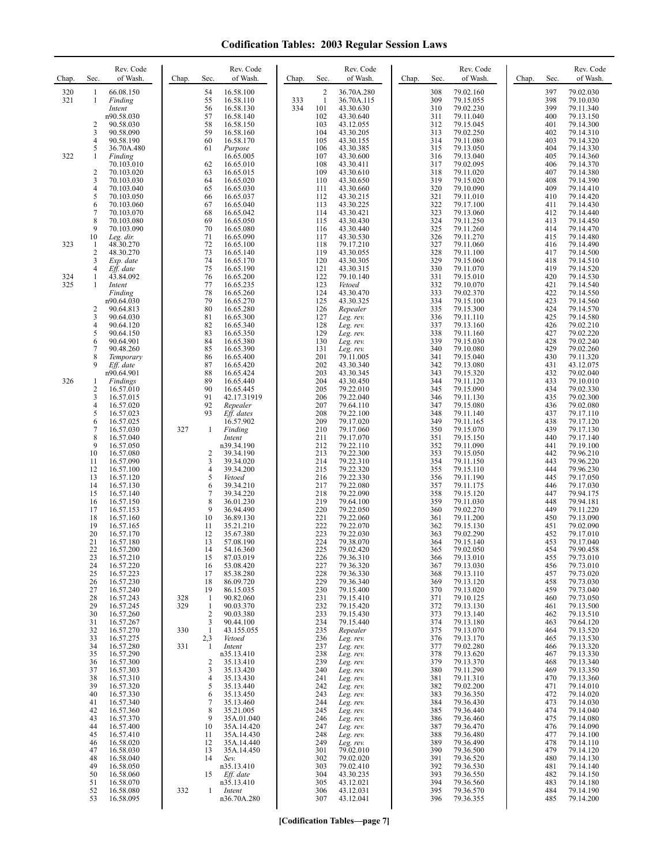| Chap.      | Rev. Code<br>of Wash.<br>Sec.                                                                                                                                                                                                                                          | Rev. Code<br>of Wash.<br>Chap.<br>Sec.                                                                                                                                                                                                                                             | Rev. Code<br>of Wash.<br>Chap.<br>Sec.                                                                                                                                                                                                                                               | Rev. Code<br>of Wash.<br>Chap.<br>Sec.                                                                                                                                                                                                                                               | Rev. Code<br>of Wash.<br>Chap.<br>Sec.                                                                                                                                                                                                                                               |
|------------|------------------------------------------------------------------------------------------------------------------------------------------------------------------------------------------------------------------------------------------------------------------------|------------------------------------------------------------------------------------------------------------------------------------------------------------------------------------------------------------------------------------------------------------------------------------|--------------------------------------------------------------------------------------------------------------------------------------------------------------------------------------------------------------------------------------------------------------------------------------|--------------------------------------------------------------------------------------------------------------------------------------------------------------------------------------------------------------------------------------------------------------------------------------|--------------------------------------------------------------------------------------------------------------------------------------------------------------------------------------------------------------------------------------------------------------------------------------|
| 320<br>321 | 66.08.150<br>1<br>1<br>Finding<br>Intent                                                                                                                                                                                                                               | 54<br>16.58.100<br>55<br>16.58.110<br>56<br>16.58.130                                                                                                                                                                                                                              | $\overline{2}$<br>36.70A.280<br>333<br>$\mathbf{1}$<br>36.70A.115<br>334<br>101<br>43.30.630                                                                                                                                                                                         | 308<br>79.02.160<br>309<br>79.15.055<br>310<br>79.02.230                                                                                                                                                                                                                             | 397<br>79.02.030<br>79.10.030<br>398<br>399<br>79.11.340                                                                                                                                                                                                                             |
| 322        | n90.58.030<br>2<br>90.58.030<br>3<br>90.58.090<br>4<br>90.58.190<br>5<br>36.70A.480<br>Finding<br>1<br>70.103.010<br>$\overline{c}$<br>70.103.020<br>3<br>70.103.030<br>4<br>70.103.040<br>5<br>70.103.050                                                             | 57<br>16.58.140<br>58<br>16.58.150<br>59<br>16.58.160<br>60<br>16.58.170<br>61<br>Purpose<br>16.65.005<br>62<br>16.65.010<br>63<br>16.65.015<br>64<br>16.65.020<br>65<br>16.65.030<br>66<br>16.65.037                                                                              | 102<br>43.30.640<br>103<br>43.12.055<br>104<br>43.30.205<br>105<br>43.30.155<br>106<br>43.30.385<br>107<br>43.30.600<br>108<br>43.30.411<br>109<br>43.30.610<br>110<br>43.30.650<br>43.30.660<br>111<br>112<br>43.30.215                                                             | 311<br>79.11.040<br>312<br>79.15.045<br>313<br>79.02.250<br>314<br>79.11.080<br>315<br>79.13.050<br>316<br>79.13.040<br>317<br>79.02.095<br>318<br>79.11.020<br>319<br>79.15.020<br>320<br>79.10.090<br>321<br>79.11.010                                                             | 400<br>79.13.150<br>401<br>79.14.300<br>402<br>79.14.310<br>403<br>79.14.320<br>404<br>79.14.330<br>405<br>79.14.360<br>406<br>79.14.370<br>407<br>79.14.380<br>408<br>79.14.390<br>409<br>79.14.410<br>410<br>79.14.420                                                             |
| 323        | 6<br>70.103.060<br>$\boldsymbol{7}$<br>70.103.070<br>8<br>70.103.080<br>9<br>70.103.090<br>10<br>Leg. dir.<br>48.30.270<br>1<br>2<br>48.30.270<br>3<br>Exp. date                                                                                                       | 67<br>16.65.040<br>68<br>16.65.042<br>69<br>16.65.050<br>70<br>16.65.080<br>71<br>16.65.090<br>72<br>16.65.100<br>73<br>16.65.140<br>74<br>16.65.170                                                                                                                               | 113<br>43.30.225<br>114<br>43.30.421<br>115<br>43.30.430<br>116<br>43.30.440<br>117<br>43.30.530<br>118<br>79.17.210<br>119<br>43.30.055<br>120<br>43.30.305                                                                                                                         | 322<br>79.17.100<br>323<br>79.13.060<br>324<br>79.11.250<br>325<br>79.11.260<br>326<br>79.11.270<br>327<br>79.11.060<br>328<br>79.11.100<br>329<br>79.15.060                                                                                                                         | 411<br>79.14.430<br>412<br>79.14.440<br>413<br>79.14.450<br>414<br>79.14.470<br>415<br>79.14.480<br>416<br>79.14.490<br>417<br>79.14.500<br>418<br>79.14.510                                                                                                                         |
| 324<br>325 | 4<br>Eff. date<br>43.84.092<br>1<br>1<br>Intent<br>Finding<br>n90.64.030<br>2<br>90.64.813<br>3<br>90.64.030<br>4<br>90.64.120<br>5<br>90.64.150                                                                                                                       | 75<br>16.65.190<br>76<br>16.65.200<br>77<br>16.65.235<br>78<br>16.65.260<br>79<br>16.65.270<br>80<br>16.65.280<br>81<br>16.65.300<br>82<br>16.65.340<br>83<br>16.65.350                                                                                                            | 121<br>43.30.315<br>122<br>79.10.140<br>123<br>Vetoed<br>124<br>43.30.470<br>125<br>43.30.325<br>126<br>Repealer<br>127<br>Leg. rev.<br>128<br>Leg. rev.<br>129<br>Leg. rev.                                                                                                         | 330<br>79.11.070<br>331<br>79.15.010<br>332<br>79.10.070<br>333<br>79.02.370<br>334<br>79.15.100<br>335<br>79.15.300<br>336<br>79.11.110<br>337<br>79.13.160<br>338<br>79.11.160                                                                                                     | 419<br>79.14.520<br>420<br>79.14.530<br>421<br>79.14.540<br>422<br>79.14.550<br>423<br>79.14.560<br>424<br>79.14.570<br>425<br>79.14.580<br>426<br>79.02.210<br>427<br>79.02.220                                                                                                     |
| 326        | 6<br>90.64.901<br>7<br>90.48.260<br>8<br>Temporary<br>9<br>Eff. date<br>n90.64.901<br>Findings<br>1<br>2<br>16.57.010<br>3<br>16.57.015<br>4<br>16.57.020                                                                                                              | 84<br>16.65.380<br>85<br>16.65.390<br>86<br>16.65.400<br>87<br>16.65.420<br>88<br>16.65.424<br>89<br>16.65.440<br>90<br>16.65.445<br>91<br>42.17.31919<br>92<br>Repealer                                                                                                           | 130<br>Leg. rev.<br>131<br>Leg. rev.<br>201<br>79.11.005<br>202<br>43.30.340<br>203<br>43.30.345<br>204<br>43.30.450<br>205<br>79.22.010<br>206<br>79.22.040<br>207<br>79.64.110                                                                                                     | 339<br>79.15.030<br>340<br>79.10.080<br>341<br>79.15.040<br>342<br>79.13.080<br>343<br>79.15.320<br>344<br>79.11.120<br>345<br>79.15.090<br>346<br>79.11.130<br>347<br>79.15.080                                                                                                     | 428<br>79.02.240<br>429<br>79.02.260<br>430<br>79.11.320<br>431<br>43.12.075<br>432<br>79.02.040<br>433<br>79.10.010<br>434<br>79.02.330<br>435<br>79.02.300<br>436<br>79.02.080                                                                                                     |
|            | 5<br>16.57.023<br>6<br>16.57.025<br>$\overline{7}$<br>16.57.030<br>8<br>16.57.040<br>9<br>16.57.050<br>10<br>16.57.080<br>11<br>16.57.090<br>12<br>16.57.100<br>13<br>16.57.120<br>14<br>16.57.130                                                                     | 93<br>Eff. dates<br>16.57.902<br>327<br>$\mathbf{1}$<br>Finding<br>Intent<br>n39.34.190<br>2<br>39.34.190<br>3<br>39.34.020<br>$\overline{4}$<br>39.34.200<br>5<br>Vetoed<br>6<br>39.34.210                                                                                        | 208<br>79.22.100<br>209<br>79.17.020<br>210<br>79.17.060<br>211<br>79.17.070<br>212<br>79.22.110<br>213<br>79.22.300<br>214<br>79.22.310<br>215<br>79.22.320<br>216<br>79.22.330<br>217<br>79.22.080                                                                                 | 348<br>79.11.140<br>349<br>79.11.165<br>350<br>79.15.070<br>351<br>79.15.150<br>352<br>79.11.090<br>353<br>79.15.050<br>354<br>79.11.150<br>355<br>79.15.110<br>356<br>79.11.190<br>357<br>79.11.175                                                                                 | 437<br>79.17.110<br>438<br>79.17.120<br>439<br>79.17.130<br>440<br>79.17.140<br>441<br>79.19.100<br>442<br>79.96.210<br>443<br>79.96.220<br>444<br>79.96.230<br>445<br>79.17.050<br>446<br>79.17.030                                                                                 |
|            | 15<br>16.57.140<br>16<br>16.57.150<br>17<br>16.57.153<br>18<br>16.57.160<br>19<br>16.57.165<br>20<br>16.57.170<br>21<br>16.57.180<br>22<br>16.57.200<br>23<br>16.57.210<br>16.57.220<br>24<br>25<br>16.57.223<br>16.57.230<br>26                                       | 7<br>39.34.220<br>8<br>36.01.230<br>9<br>36.94.490<br>10<br>36.89.130<br>11<br>35.21.210<br>12<br>35.67.380<br>13<br>57.08.190<br>14<br>54.16.360<br>15<br>87.03.019<br>53.08.420<br>16<br>17<br>85.38.280<br>86.09.720<br>18                                                      | 218<br>79.22.090<br>219<br>79.64.100<br>220<br>79.22.050<br>221<br>79.22.060<br>222<br>79.22.070<br>223<br>79.22.030<br>224<br>79.38.070<br>225<br>79.02.420<br>226<br>79.36.310<br>227<br>79.36.320<br>228<br>79.36.330<br>229<br>79.36.340                                         | 358<br>79.15.120<br>359<br>79.11.030<br>360<br>79.02.270<br>361<br>79.11.200<br>362<br>79.15.130<br>363<br>79.02.290<br>364<br>79.15.140<br>365<br>79.02.050<br>366<br>79.13.010<br>79.13.030<br>367<br>368<br>79.13.110<br>79.13.120<br>369                                         | 447<br>79.94.175<br>448<br>79.94.181<br>449<br>79.11.220<br>450<br>79.13.090<br>451<br>79.02.090<br>452<br>79.17.010<br>453<br>79.17.040<br>454<br>79.90.458<br>455<br>79.73.010<br>79.73.010<br>456<br>457<br>79.73.020<br>79.73.030<br>458                                         |
|            | 27<br>16.57.240<br>28<br>16.57.243<br>29<br>16.57.245<br>30<br>16.57.260<br>31<br>16.57.267<br>32<br>16.57.270<br>33<br>16.57.275<br>34<br>16.57.280<br>16.57.290<br>35<br>36<br>16.57.300<br>37<br>16.57.303<br>38<br>16.57.310<br>39<br>16.57.320                    | 19<br>86.15.035<br>328<br>90.82.060<br>$\mathbf{1}$<br>329<br>90.03.370<br>$\mathbf{1}$<br>2<br>90.03.380<br>3<br>90.44.100<br>330<br>1<br>43.155.055<br>2,3<br>Vetoed<br>331<br>1<br>Intent<br>n35.13.410<br>35.13.410<br>2<br>3<br>35.13.420<br>4<br>35.13.430<br>5<br>35.13.440 | 230<br>79.15.400<br>231<br>79.15.410<br>232<br>79.15.420<br>233<br>79.15.430<br>234<br>79.15.440<br>235<br>Repealer<br>236<br>Leg. rev.<br>237<br>Leg. rev.<br>238<br>Leg. rev.<br>239<br>Leg. rev.<br>240<br>Leg. rev.<br>241<br>Leg. rev.<br>242<br>Leg. rev.                      | 370<br>79.13.020<br>371<br>79.10.125<br>79.13.130<br>372<br>79.13.140<br>373<br>374<br>79.13.180<br>375<br>79.13.070<br>376<br>79.13.170<br>377<br>79.02.280<br>378<br>79.13.620<br>379<br>79.13.370<br>380<br>79.11.290<br>381<br>79.11.310<br>382<br>79.02.200                     | 459<br>79.73.040<br>460<br>79.73.050<br>79.13.500<br>461<br>462<br>79.13.510<br>79.64.120<br>463<br>464<br>79.13.520<br>465<br>79.13.530<br>466<br>79.13.320<br>79.13.330<br>467<br>468<br>79.13.340<br>79.13.350<br>469<br>470<br>79.13.360<br>471<br>79.14.010                     |
|            | 40<br>16.57.330<br>41<br>16.57.340<br>42<br>16.57.360<br>43<br>16.57.370<br>44<br>16.57.400<br>45<br>16.57.410<br>16.58.020<br>46<br>47<br>16.58.030<br>48<br>16.58.040<br>49<br>16.58.050<br>50<br>16.58.060<br>51<br>16.58.070<br>52<br>16.58.080<br>53<br>16.58.095 | 35.13.450<br>6<br>7<br>35.13.460<br>8<br>35.21.005<br>9<br>35A.01.040<br>35A.14.420<br>10<br>11<br>35A.14.430<br>35A.14.440<br>12<br>13<br>35A.14.450<br>14<br>Sev.<br>n35.13.410<br>15<br>Eff. date<br>n35.13.410<br>332<br>Intent<br>1<br>n36.70A.280                            | 243<br>Leg. rev.<br>244<br>Leg. rev.<br>245<br>Leg. rev.<br>246<br>Leg. rev.<br>247<br>Leg. rev.<br>248<br>Leg. rev.<br>249<br>Leg. rev.<br>301<br>79.02.010<br>302<br>79.02.020<br>79.02.410<br>303<br>304<br>43.30.235<br>43.12.021<br>305<br>306<br>43.12.031<br>307<br>43.12.041 | 79.36.350<br>383<br>384<br>79.36.430<br>385<br>79.36.440<br>386<br>79.36.460<br>387<br>79.36.470<br>388<br>79.36.480<br>389<br>79.36.490<br>390<br>79.36.500<br>391<br>79.36.520<br>392<br>79.36.530<br>393<br>79.36.550<br>394<br>79.36.560<br>395<br>79.36.570<br>79.36.355<br>396 | 472<br>79.14.020<br>473<br>79.14.030<br>474<br>79.14.040<br>475<br>79.14.080<br>476<br>79.14.090<br>477<br>79.14.100<br>79.14.110<br>478<br>479<br>79.14.120<br>480<br>79.14.130<br>481<br>79.14.140<br>482<br>79.14.150<br>483<br>79.14.180<br>484<br>79.14.190<br>79.14.200<br>485 |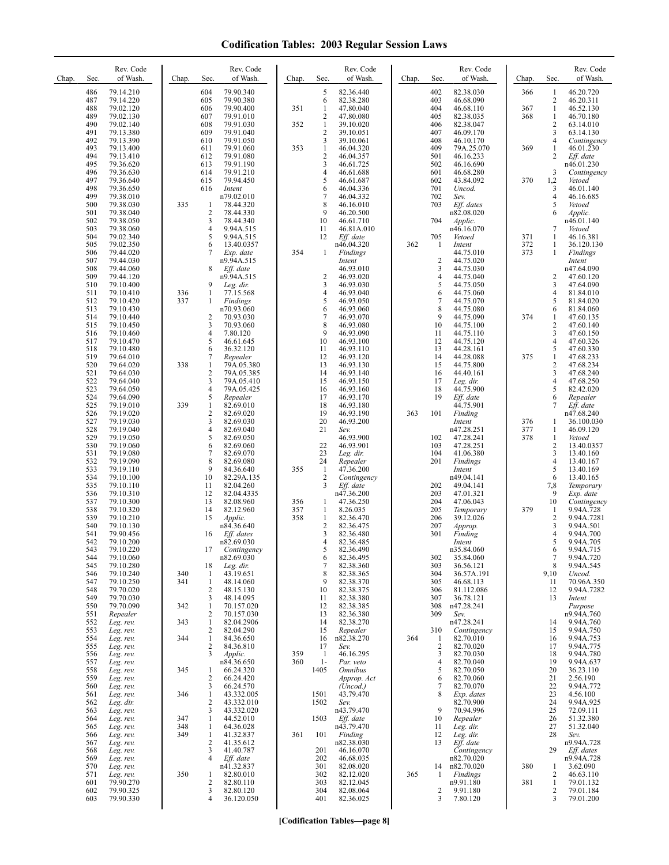| Chap. | Sec.       | Rev. Code<br>of Wash.  | Chap.      | Sec.                           | Rev. Code<br>of Wash.    | Chap.      | Sec.                           | Rev. Code<br>of Wash.   | Chap. | Sec.                | Rev. Code<br>of Wash.     | Chap.      | Sec.                    | Rev. Code<br>of Wash.    |
|-------|------------|------------------------|------------|--------------------------------|--------------------------|------------|--------------------------------|-------------------------|-------|---------------------|---------------------------|------------|-------------------------|--------------------------|
|       | 486        | 79.14.210              |            | 604                            | 79.90.340                |            | 5                              | 82.36.440               |       | 402                 | 82.38.030                 | 366        | 1                       | 46.20.720                |
|       | 487<br>488 | 79.14.220<br>79.02.120 |            | 605<br>606                     | 79.90.380<br>79.90.400   | 351        | 6<br>$\mathbf{1}$              | 82.38.280<br>47.80.040  |       | 403<br>404          | 46.68.090<br>46.68.110    | 367        | 2<br>$\mathbf{1}$       | 46.20.311<br>46.52.130   |
|       | 489        | 79.02.130              |            | 607                            | 79.91.010                |            | 2                              | 47.80.080               |       | 405                 | 82.38.035                 | 368        | 1                       | 46.70.180                |
|       | 490<br>491 | 79.02.140<br>79.13.380 |            | 608<br>609                     | 79.91.030<br>79.91.040   | 352        | $\mathbf{1}$<br>$\overline{c}$ | 39.10.020<br>39.10.051  |       | 406<br>407          | 82.38.047<br>46.09.170    |            | $\overline{c}$<br>3     | 63.14.010<br>63.14.130   |
|       | 492        | 79.13.390              |            | 610                            | 79.91.050                |            | 3                              | 39.10.061               |       | 408                 | 46.10.170                 |            | 4                       | Contingency              |
|       | 493<br>494 | 79.13.400<br>79.13.410 |            | 611<br>612                     | 79.91.060<br>79.91.080   | 353        | $\mathbf{1}$<br>$\overline{c}$ | 46.04.320<br>46.04.357  |       | 409<br>501          | 79A.25.070<br>46.16.233   | 369        | 1<br>2                  | 46.01.230<br>Eff. date   |
|       | 495        | 79.36.620              |            | 613                            | 79.91.190                |            | 3                              | 46.61.725               |       | 502                 | 46.16.690                 |            |                         | n46.01.230               |
|       | 496<br>497 | 79.36.630<br>79.36.640 |            | 614<br>615                     | 79.91.210<br>79.94.450   |            | 4<br>5                         | 46.61.688<br>46.61.687  |       | 601<br>602          | 46.68.280<br>43.84.092    | 370        | 3<br>1,2                | Contingency<br>Vetoed    |
|       | 498        | 79.36.650              |            | 616                            | Intent                   |            | 6                              | 46.04.336               |       | 701                 | Uncod.                    |            | 3                       | 46.01.140                |
|       | 499<br>500 | 79.38.010<br>79.38.030 | 335        | 1                              | n79.02.010<br>78.44.320  |            | 7<br>8                         | 46.04.332<br>46.16.010  |       | 702<br>703          | Sev.<br>Eff. dates        |            | 4<br>5                  | 46.16.685<br>Vetoed      |
|       | 501        | 79.38.040              |            | $\overline{2}$                 | 78.44.330                |            | 9                              | 46.20.500               |       |                     | n82.08.020                |            | 6                       | Applic.                  |
|       | 502<br>503 | 79.38.050<br>79.38.060 |            | 3<br>$\overline{4}$            | 78.44.340<br>9.94A.515   |            | 10<br>11                       | 46.61.710<br>46.81A.010 |       | 704                 | Applic.<br>n46.16.070     |            | 7                       | n46.01.140<br>Vetoed     |
|       | 504        | 79.02.340              |            | 5                              | 9.94A.515                |            | 12                             | Eff. date               |       | 705                 | Vetoed                    | 371        | $\mathbf{1}$            | 46.16.381                |
|       | 505<br>506 | 79.02.350<br>79.44.020 |            | 6<br>7                         | 13.40.0357<br>Exp. date  | 354        | 1                              | n46.04.320<br>Findings  | 362   | 1                   | Intent<br>44.75.010       | 372<br>373 | 1<br>$\mathbf{1}$       | 36.120.130<br>Findings   |
|       | 507        | 79.44.030              |            |                                | n9.94A.515               |            |                                | Intent                  |       | $\overline{c}$      | 44.75.020                 |            |                         | Intent                   |
|       | 508<br>509 | 79.44.060<br>79.44.120 |            | 8                              | Eff. date<br>n9.94A.515  |            | $\overline{\mathbf{c}}$        | 46.93.010<br>46.93.020  |       | 3<br>4              | 44.75.030<br>44.75.040    |            | 2                       | n47.64.090<br>47.60.120  |
|       | 510        | 79.10.400              |            | 9                              | Leg. dir.                |            | 3                              | 46.93.030               |       | 5                   | 44.75.050                 |            | 3                       | 47.64.090                |
|       | 511<br>512 | 79.10.410<br>79.10.420 | 336<br>337 | $\mathbf{1}$<br>1              | 77.15.568<br>Findings    |            | 4<br>5                         | 46.93.040<br>46.93.050  |       | 6<br>7              | 44.75.060<br>44.75.070    |            | 4<br>5                  | 81.84.010<br>81.84.020   |
|       | 513        | 79.10.430              |            |                                | n70.93.060               |            | 6                              | 46.93.060               |       | 8                   | 44.75.080                 |            | 6                       | 81.84.060                |
|       | 514<br>515 | 79.10.440<br>79.10.450 |            | 2<br>3                         | 70.93.030<br>70.93.060   |            | 7<br>8                         | 46.93.070<br>46.93.080  |       | 9<br>10             | 44.75.090<br>44.75.100    | 374        | 1<br>2                  | 47.60.135<br>47.60.140   |
|       | 516        | 79.10.460              |            | 4                              | 7.80.120                 |            | 9                              | 46.93.090               |       | 11                  | 44.75.110                 |            | 3                       | 47.60.150                |
|       | 517<br>518 | 79.10.470<br>79.10.480 |            | 5<br>6                         | 46.61.645<br>36.32.120   |            | 10<br>11                       | 46.93.100<br>46.93.110  |       | 12<br>13            | 44.75.120<br>44.28.161    |            | 4<br>5                  | 47.60.326<br>47.60.330   |
|       | 519        | 79.64.010              |            | 7                              | Repealer                 |            | 12                             | 46.93.120               |       | 14                  | 44.28.088                 | 375        | $\mathbf{1}$            | 47.68.233                |
|       | 520<br>521 | 79.64.020<br>79.64.030 | 338        | 1<br>$\overline{c}$            | 79A.05.380<br>79A.05.385 |            | 13<br>14                       | 46.93.130<br>46.93.140  |       | 15<br>16            | 44.75.800<br>44.40.161    |            | $\overline{c}$<br>3     | 47.68.234<br>47.68.240   |
|       | 522        | 79.64.040              |            | 3                              | 79A.05.410               |            | 15                             | 46.93.150               |       | 17                  | Leg. dir.                 |            | $\overline{\mathbf{4}}$ | 47.68.250                |
|       | 523<br>524 | 79.64.050<br>79.64.090 |            | $\overline{4}$<br>5            | 79A.05.425<br>Repealer   |            | 16<br>17                       | 46.93.160<br>46.93.170  |       | 18<br>19            | 44.75.900<br>Eff. date    |            | 5<br>6                  | 82.42.020<br>Repealer    |
|       | 525        | 79.19.010              | 339        | $\mathbf{1}$                   | 82.69.010                |            | 18                             | 46.93.180               |       |                     | 44.75.901                 |            | 7                       | Eff. date                |
|       | 526<br>527 | 79.19.020<br>79.19.030 |            | $\overline{c}$<br>3            | 82.69.020<br>82.69.030   |            | 19<br>20                       | 46.93.190<br>46.93.200  | 363   | 101                 | Finding<br>Intent         | 376        | $\mathbf{1}$            | n47.68.240<br>36.100.030 |
|       | 528        | 79.19.040              |            | $\overline{4}$                 | 82.69.040                |            | 21                             | Sev.                    |       |                     | n47.28.251                | 377        | $\mathbf{1}$            | 46.09.120                |
|       | 529<br>530 | 79.19.050<br>79.19.060 |            | 5<br>6                         | 82.69.050<br>82.69.060   |            | 22                             | 46.93.900<br>46.93.901  |       | 102<br>103          | 47.28.241<br>47.28.251    | 378        | 1<br>$\mathbf{2}$       | Vetoed<br>13.40.0357     |
|       | 531        | 79.19.080              |            | $\overline{7}$                 | 82.69.070                |            | 23                             | Leg. dir.               |       | 104                 | 41.06.380                 |            | 3                       | 13.40.160                |
|       | 532<br>533 | 79.19.090<br>79.19.110 |            | 8<br>9                         | 82.69.080<br>84.36.640   | 355        | 24<br>$\mathbf{1}$             | Repealer<br>47.36.200   |       | 201                 | Findings<br>Intent        |            | $\overline{4}$<br>5     | 13.40.167<br>13.40.169   |
|       | 534        | 79.10.100              |            | 10                             | 82.29A.135               |            | 2                              | Contingency             |       |                     | n49.04.141                |            | 6                       | 13.40.165                |
|       | 535<br>536 | 79.10.110<br>79.10.310 |            | 11<br>12                       | 82.04.260<br>82.04.4335  |            | 3                              | Eff. date<br>n47.36.200 |       | 202<br>203          | 49.04.141<br>47.01.321    |            | 7,8<br>9                | Temporary<br>Exp. date   |
|       | 537        | 79.10.300              |            | 13                             | 82.08.960                | 356        | $\mathbf{1}$                   | 47.36.250               |       | 204                 | 47.06.043                 |            | 10                      | Contingency              |
|       | 538<br>539 | 79.10.320<br>79.10.210 |            | 14<br>15                       | 82.12.960<br>Applic.     | 357<br>358 | $\mathbf{1}$<br>$\mathbf{1}$   | 8.26.035<br>82.36.470   |       | 205<br>206          | Temporary<br>39.12.026    | 379        | 1<br>$\overline{c}$     | 9.94A.728<br>9.94A.7281  |
|       | 540        | 79.10.130              |            |                                | n84.36.640               |            | $\overline{\mathbf{c}}$        | 82.36.475               |       | 207                 | Approp.                   |            | 3                       | 9.94A.501                |
|       | 541<br>542 | 79.90.456<br>79.10.200 |            | 16                             | Eff. dates<br>n82.69.030 |            | 3<br>4                         | 82.36.480<br>82.36.485  |       | 301                 | Finding<br>Intent         |            | 4<br>5                  | 9.94A.700<br>9.94A.705   |
|       | 543        | 79.10.220              |            | 17                             | Contingency              |            | 5                              | 82.36.490               |       |                     | n35.84.060                |            | 6                       | 9.94A.715                |
|       | 544<br>545 | 79.10.060<br>79.10.280 |            | 18                             | n82.69.030<br>Leg. dir.  |            | 6<br>7                         | 82.36.495<br>82.38.360  |       | 302<br>303          | 35.84.060<br>36.56.121    |            | 7<br>8                  | 9.94A.720<br>9.94A.545   |
|       | 546        | 79.10.240              | 340        | 1                              | 43.19.651                |            | 8                              | 82.38.365               |       | 304                 | 36.57A.191                |            | 9,10                    | Uncod.                   |
|       | 547<br>548 | 79.10.250<br>79.70.020 | 341        | 1<br>2                         | 48.14.060<br>48.15.130   |            | 9<br>10                        | 82.38.370<br>82.38.375  |       | 305<br>306          | 46.68.113<br>81.112.086   |            | 11<br>12                | 70.96A.350<br>9.94A.7282 |
|       | 549        | 79.70.030              |            | 3                              | 48.14.095                |            | 11                             | 82.38.380               |       | 307                 | 36.78.121                 |            | 13                      | Intent                   |
|       | 550<br>551 | 79.70.090<br>Repealer  | 342        | $\mathbf{1}$<br>2              | 70.157.020<br>70.157.030 |            | 12<br>13                       | 82.38.385<br>82.36.380  |       | 308<br>309          | n47.28.241<br>Sev.        |            |                         | Purpose<br>n9.94A.760    |
|       | 552        | Leg. rev.              | 343        | $\mathbf{1}$                   | 82.04.2906               |            | 14                             | 82.38.270               |       |                     | n47.28.241                |            | 14                      | 9.94A.760                |
|       | 553<br>554 | Leg. rev.<br>Leg. rev. | 344        | $\overline{c}$<br>$\mathbf{1}$ | 82.04.290<br>84.36.650   |            | 15<br>16                       | Repealer<br>n82.38.270  | 364   | 310<br>1            | Contingency<br>82.70.010  |            | 15<br>16                | 9.94A.750<br>9.94A.753   |
|       | 555        | Leg. rev.              |            | 2                              | 84.36.810                |            | 17                             | Sev.                    |       | 2                   | 82.70.020                 |            | 17                      | 9.94A.775                |
|       | 556<br>557 | Leg. rev.<br>Leg. rev. |            | 3                              | Applic.<br>n84.36.650    | 359<br>360 | $\mathbf{1}$<br>$1-$           | 46.16.295<br>Par. veto  |       | 3<br>$\overline{4}$ | 82.70.030<br>82.70.040    |            | 18<br>19                | 9.94A.780<br>9.94A.637   |
|       | 558        | Leg. rev.              | 345        | 1                              | 66.24.320                |            | 1405                           | <b>Omnibus</b>          |       | 5                   | 82.70.050                 |            | 20                      | 36.23.110                |
|       | 559<br>560 | Leg. rev.<br>Leg. rev. |            | $\overline{c}$<br>3            | 66.24.420<br>66.24.570   |            |                                | Approp. Act<br>(Uncod.) |       | 6<br>7              | 82.70.060<br>82.70.070    |            | 21<br>22                | 2.56.190<br>9.94A.772    |
|       | 561        | Leg. rev.              | 346        | $\mathbf{1}$                   | 43.332.005               |            | 1501                           | 43.79.470               |       | 8                   | Exp. dates                |            | 23                      | 4.56.100                 |
|       | 562<br>563 | Leg. dir.<br>Leg. rev. |            | $\overline{c}$<br>3            | 43.332.010<br>43.332.020 |            | 1502                           | Sev.<br>n43.79.470      |       | 9                   | 82.70.900<br>70.94.996    |            | 24<br>25                | 9.94A.925<br>72.09.111   |
|       | 564        | Leg. rev.              | 347        | $\mathbf{1}$                   | 44.52.010                |            | 1503                           | Eff. date               |       | 10                  | Repealer                  |            | 26                      | 51.32.380                |
|       | 565<br>566 | Leg. rev.<br>Leg. rev. | 348<br>349 | $\mathbf{1}$<br>$\mathbf{1}$   | 64.36.028<br>41.32.837   | 361        | 101                            | n43.79.470<br>Finding   |       | 11<br>12            | Leg. dir.<br>Leg. dir.    |            | 27<br>28                | 51.32.040<br>Sev.        |
|       | 567        | Leg. rev.              |            | 2                              | 41.35.612                |            |                                | n82.38.030              |       | 13                  | Eff. date                 |            |                         | n9.94A.728               |
|       | 568<br>569 | Leg. rev.<br>Leg. rev. |            | 3<br>4                         | 41.40.787<br>Eff. date   |            | 201<br>202                     | 46.16.070<br>46.68.035  |       |                     | Contingency<br>n82.70.020 |            | 29                      | Eff. dates<br>n9.94A.728 |
|       | 570        | Leg. rev.              |            |                                | n41.32.837               |            | 301                            | 82.08.020               |       | 14                  | n82.70.020                | 380        | 1                       | 3.62.090                 |
|       | 571<br>601 | Leg. rev.<br>79.90.270 | 350        | 1<br>2                         | 82.80.010<br>82.80.110   |            | 302<br>303                     | 82.12.020<br>82.12.045  | 365   | 1                   | Findings<br>n9.91.180     | 381        | 2<br>$\mathbf{1}$       | 46.63.110<br>79.01.132   |
|       | 602        | 79.90.325              |            | 3                              | 82.80.120                |            | 304                            | 82.08.064               |       | 2                   | 9.91.180                  |            | 2                       | 79.01.184                |
|       | 603        | 79.90.330              |            | 4                              | 36.120.050               |            | 401                            | 82.36.025               |       | 3                   | 7.80.120                  |            | 3                       | 79.01.200                |

**[Codification Tables—page 8]**